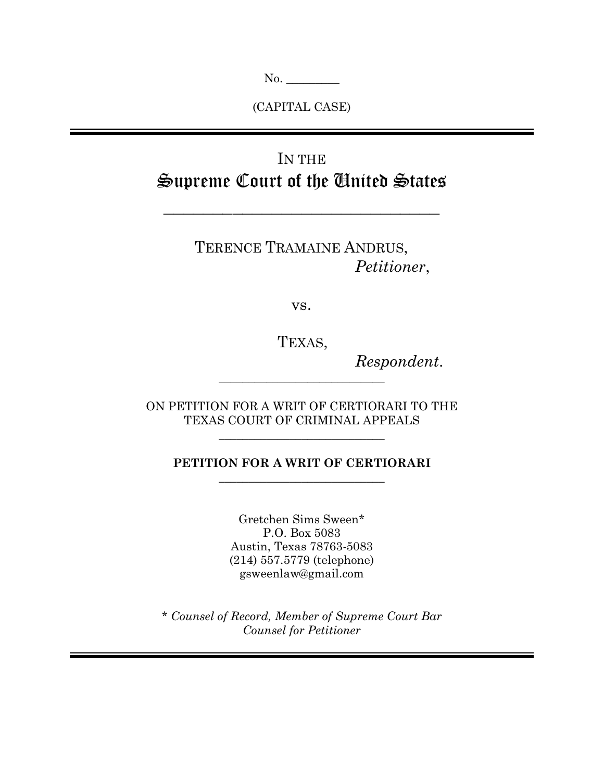No. \_\_\_\_\_\_\_\_\_

(CAPITAL CASE)

# IN THE Supreme Court of the United States

 $\mathcal{L}_\text{max}$  and  $\mathcal{L}_\text{max}$  and  $\mathcal{L}_\text{max}$  and  $\mathcal{L}_\text{max}$ 

TERENCE TRAMAINE ANDRUS, *Petitioner*,

vs.

TEXAS,

*Respondent*.

ON PETITION FOR A WRIT OF CERTIORARI TO THE TEXAS COURT OF CRIMINAL APPEALS

 $\overline{\phantom{a}}$  , where  $\overline{\phantom{a}}$  , where  $\overline{\phantom{a}}$  ,  $\overline{\phantom{a}}$  ,  $\overline{\phantom{a}}$  ,  $\overline{\phantom{a}}$  ,  $\overline{\phantom{a}}$  ,  $\overline{\phantom{a}}$  ,  $\overline{\phantom{a}}$  ,  $\overline{\phantom{a}}$  ,  $\overline{\phantom{a}}$  ,  $\overline{\phantom{a}}$  ,  $\overline{\phantom{a}}$  ,  $\overline{\phantom{a}}$  ,  $\overline{\phantom{a}}$  ,

 $\overline{\phantom{a}}$  , where  $\overline{\phantom{a}}$  , where  $\overline{\phantom{a}}$  ,  $\overline{\phantom{a}}$  ,  $\overline{\phantom{a}}$  ,  $\overline{\phantom{a}}$  ,  $\overline{\phantom{a}}$  ,  $\overline{\phantom{a}}$  ,  $\overline{\phantom{a}}$  ,  $\overline{\phantom{a}}$  ,  $\overline{\phantom{a}}$  ,  $\overline{\phantom{a}}$  ,  $\overline{\phantom{a}}$  ,  $\overline{\phantom{a}}$  ,  $\overline{\phantom{a}}$  ,

## **PETITION FOR A WRIT OF CERTIORARI**  $\overline{\phantom{a}}$  , where  $\overline{\phantom{a}}$  , where  $\overline{\phantom{a}}$  ,  $\overline{\phantom{a}}$  ,  $\overline{\phantom{a}}$  ,  $\overline{\phantom{a}}$  ,  $\overline{\phantom{a}}$  ,  $\overline{\phantom{a}}$  ,  $\overline{\phantom{a}}$  ,  $\overline{\phantom{a}}$  ,  $\overline{\phantom{a}}$  ,  $\overline{\phantom{a}}$  ,  $\overline{\phantom{a}}$  ,  $\overline{\phantom{a}}$  ,  $\overline{\phantom{a}}$  ,

Gretchen Sims Sween\* P.O. Box 5083 Austin, Texas 78763-5083 (214) 557.5779 (telephone) gsweenlaw@gmail.com

*\* Counsel of Record, Member of Supreme Court Bar Counsel for Petitioner*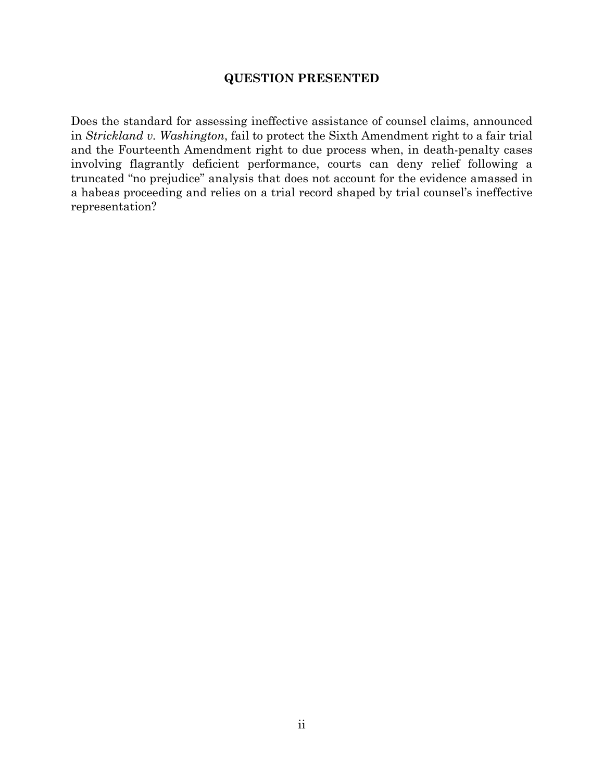### **QUESTION PRESENTED**

<span id="page-1-0"></span>Does the standard for assessing ineffective assistance of counsel claims, announced in *Strickland v. Washington*, fail to protect the Sixth Amendment right to a fair trial and the Fourteenth Amendment right to due process when, in death-penalty cases involving flagrantly deficient performance, courts can deny relief following a truncated "no prejudice" analysis that does not account for the evidence amassed in a habeas proceeding and relies on a trial record shaped by trial counsel's ineffective representation?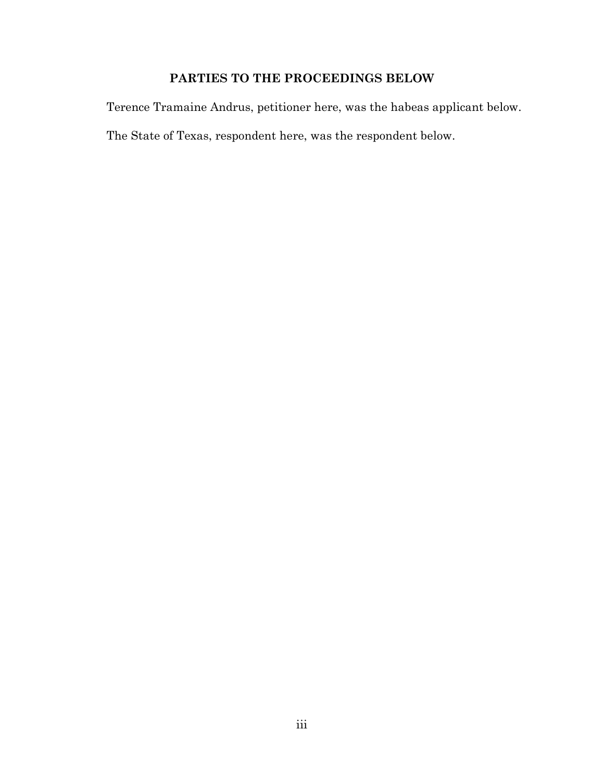## **PARTIES TO THE PROCEEDINGS BELOW**

<span id="page-2-0"></span>Terence Tramaine Andrus, petitioner here, was the habeas applicant below.

The State of Texas, respondent here, was the respondent below.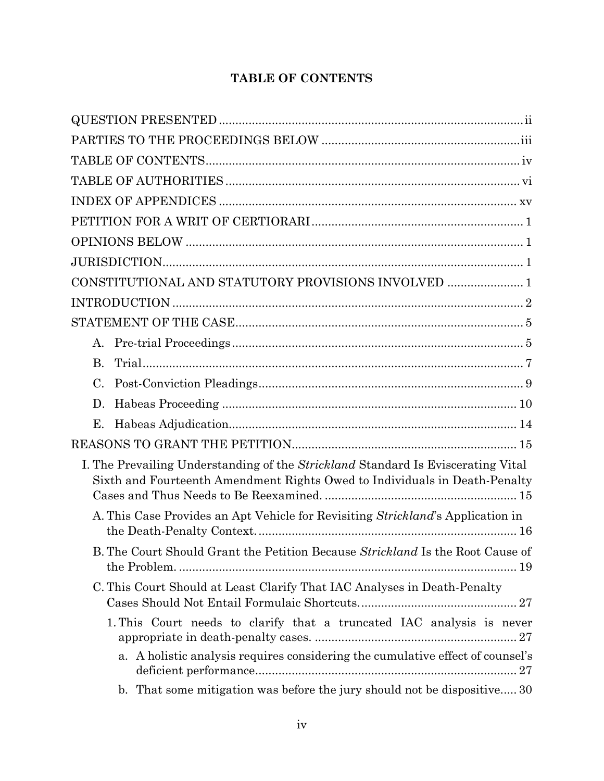## **TABLE OF CONTENTS**

<span id="page-3-0"></span>

| CONSTITUTIONAL AND STATUTORY PROVISIONS INVOLVED  1                                                                                                                   |
|-----------------------------------------------------------------------------------------------------------------------------------------------------------------------|
|                                                                                                                                                                       |
|                                                                                                                                                                       |
| A.                                                                                                                                                                    |
| <b>B.</b>                                                                                                                                                             |
| C.                                                                                                                                                                    |
| D.                                                                                                                                                                    |
| Е.                                                                                                                                                                    |
|                                                                                                                                                                       |
| I. The Prevailing Understanding of the <i>Strickland</i> Standard Is Eviscerating Vital<br>Sixth and Fourteenth Amendment Rights Owed to Individuals in Death-Penalty |
| A. This Case Provides an Apt Vehicle for Revisiting Strickland's Application in                                                                                       |
| B. The Court Should Grant the Petition Because Strickland Is the Root Cause of                                                                                        |
| C. This Court Should at Least Clarify That IAC Analyses in Death-Penalty                                                                                              |
| 1. This Court needs to clarify that a truncated IAC analysis is never                                                                                                 |
| a. A holistic analysis requires considering the cumulative effect of counsel's                                                                                        |
| b. That some mitigation was before the jury should not be dispositive 30                                                                                              |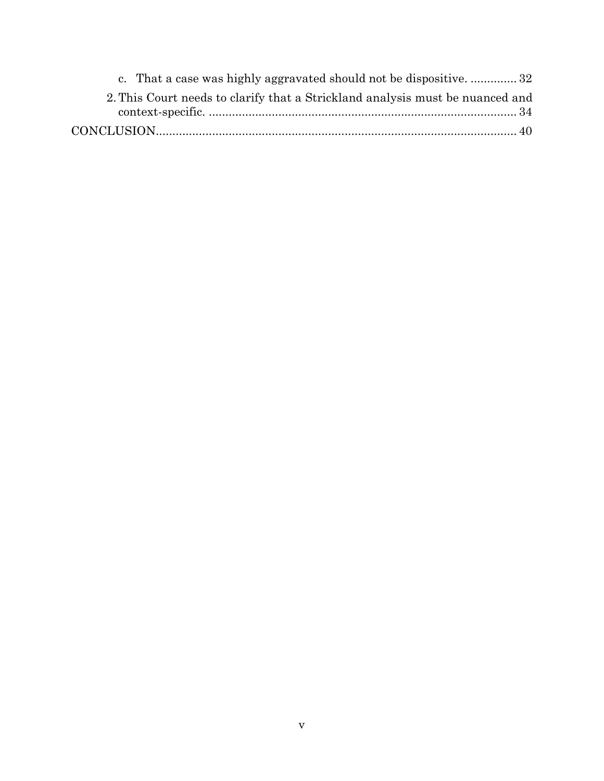| c. That a case was highly aggravated should not be dispositive 32             |
|-------------------------------------------------------------------------------|
| 2. This Court needs to clarify that a Strickland analysis must be nuanced and |
|                                                                               |
|                                                                               |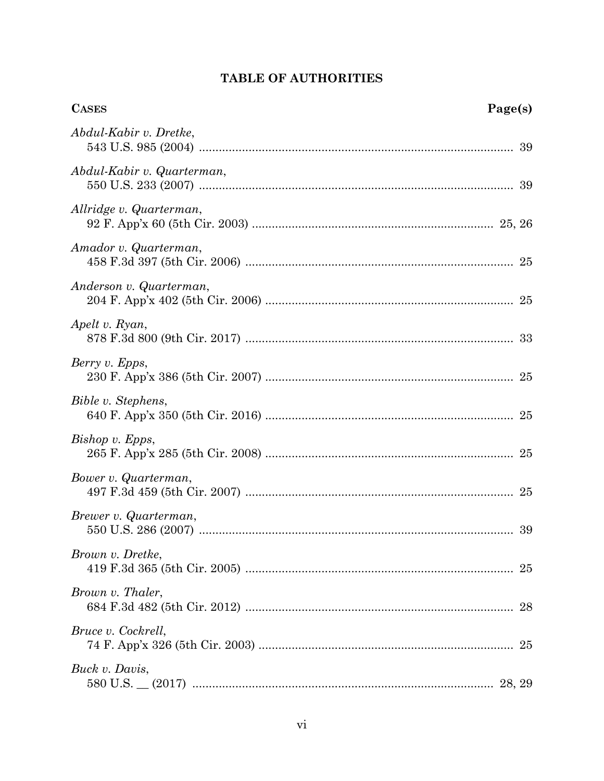<span id="page-5-0"></span>

| <b>CASES</b><br>Page(s)    |    |
|----------------------------|----|
| Abdul-Kabir v. Dretke,     |    |
| Abdul-Kabir v. Quarterman, |    |
| Allridge v. Quarterman,    |    |
| Amador v. Quarterman,      |    |
| Anderson v. Quarterman,    |    |
| Apelt v. Ryan,             |    |
| Berry v. Epps,             |    |
| Bible v. Stephens,         |    |
| Bishop v. Epps,            |    |
| Bower v. Quarterman,       |    |
| Brewer v. Quarterman,      |    |
| Brown v. Dretke,           | 25 |
| Brown v. Thaler,           |    |
| Bruce v. Cockrell,         |    |
| Buck v. Davis,             |    |

## TABLE OF AUTHORITIES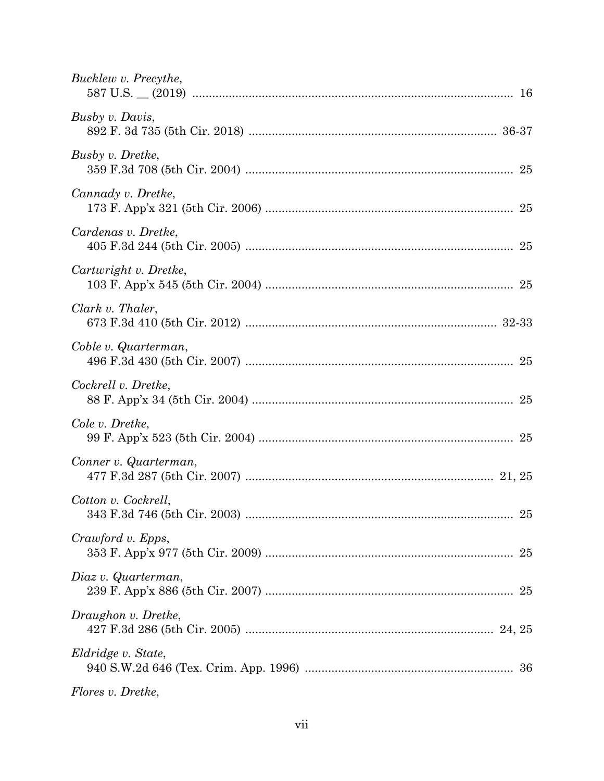| Bucklew v. Precythe,                      |
|-------------------------------------------|
| Busby v. Davis,                           |
| Busby v. Dretke,                          |
| Cannady v. Dretke,                        |
| Cardenas v. Dretke,                       |
| Cartwright v. Dretke,                     |
| Clark v. Thaler,                          |
| Coble v. Quarterman,                      |
| Cockrell v. Dretke,                       |
| Cole v. Dretke,                           |
| Conner v. Quarterman,                     |
| Cotton v. Cockrell,<br>$\ldots \ldots 25$ |
| Crawford v. Epps,                         |
| Diaz v. Quarterman,                       |
| Draughon v. Dretke,                       |
| Eldridge v. State,                        |
| Flores v. Dretke,                         |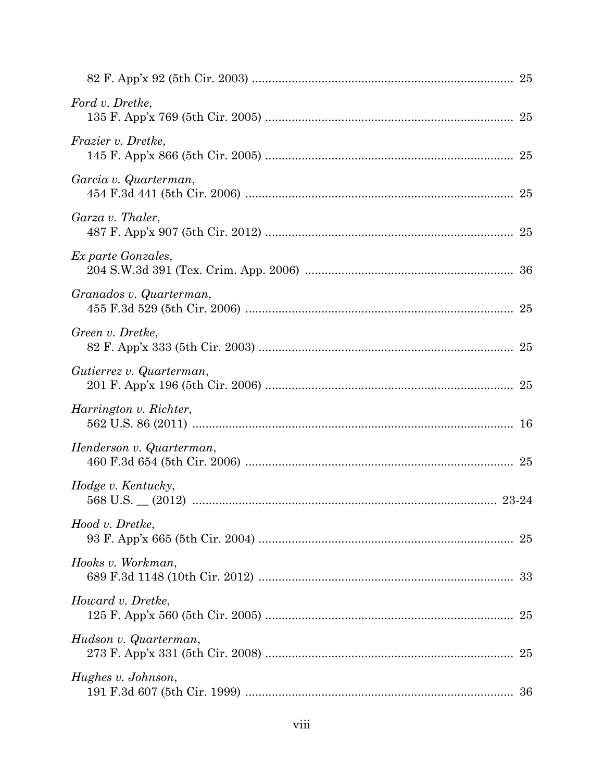| Ford v. Dretke,          |    |
|--------------------------|----|
| Frazier v. Dretke,       |    |
| Garcia v. Quarterman,    |    |
| Garza v. Thaler,         |    |
| Ex parte Gonzales,       |    |
| Granados v. Quarterman,  |    |
| Green v. Dretke,         |    |
| Gutierrez v. Quarterman, |    |
| Harrington v. Richter,   |    |
| Henderson v. Quarterman, |    |
| Hodge v. Kentucky,       |    |
| Hood v. Dretke,          |    |
| Hooks v. Workman,        |    |
| Howard v. Dretke,        | 25 |
| Hudson v. Quarterman,    | 25 |
| Hughes v. Johnson,       |    |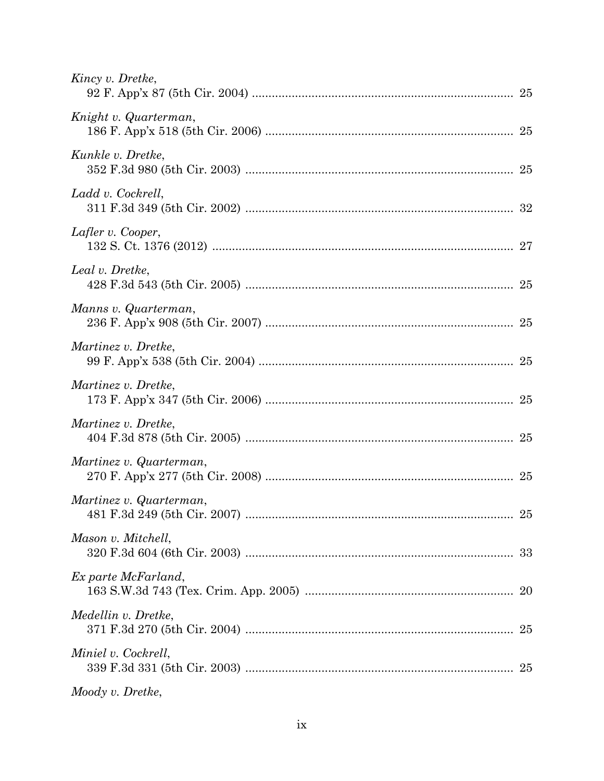| Kincy v. Dretke,        |  |
|-------------------------|--|
| Knight v. Quarterman,   |  |
| Kunkle v. Dretke,       |  |
| Ladd v. Cockrell,       |  |
| Lafler v. Cooper,       |  |
| Leal v. Dretke,         |  |
| Manns v. Quarterman,    |  |
| Martinez v. Dretke,     |  |
| Martinez v. Dretke,     |  |
| Martinez v. Dretke,     |  |
| Martinez v. Quarterman, |  |
| Martinez v. Quarterman, |  |
| Mason v. Mitchell,      |  |
| Ex parte McFarland,     |  |
| Medellin v. Dretke,     |  |
| Miniel v. Cockrell,     |  |
| Moody v. Dretke,        |  |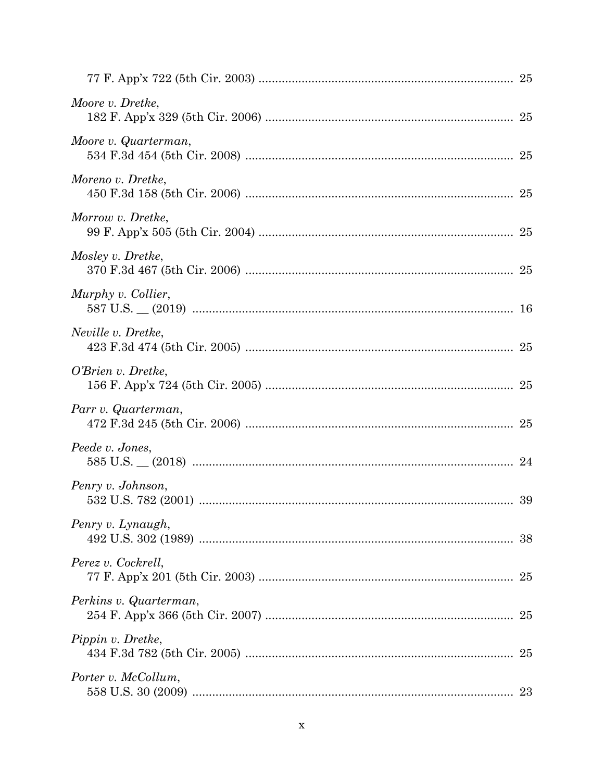| Moore v. Dretke,       |  |
|------------------------|--|
| Moore v. Quarterman,   |  |
| Moreno v. Dretke,      |  |
| Morrow v. Dretke,      |  |
| Mosley v. Dretke,      |  |
| Murphy v. Collier,     |  |
| Neville v. Dretke,     |  |
| O'Brien v. Dretke,     |  |
| Parr v. Quarterman,    |  |
| Peede v. Jones,        |  |
| Penry v. Johnson,      |  |
| Penry v. Lynaugh,      |  |
| Perez v. Cockrell,     |  |
| Perkins v. Quarterman, |  |
| Pippin v. Dretke,      |  |
| Porter v. McCollum,    |  |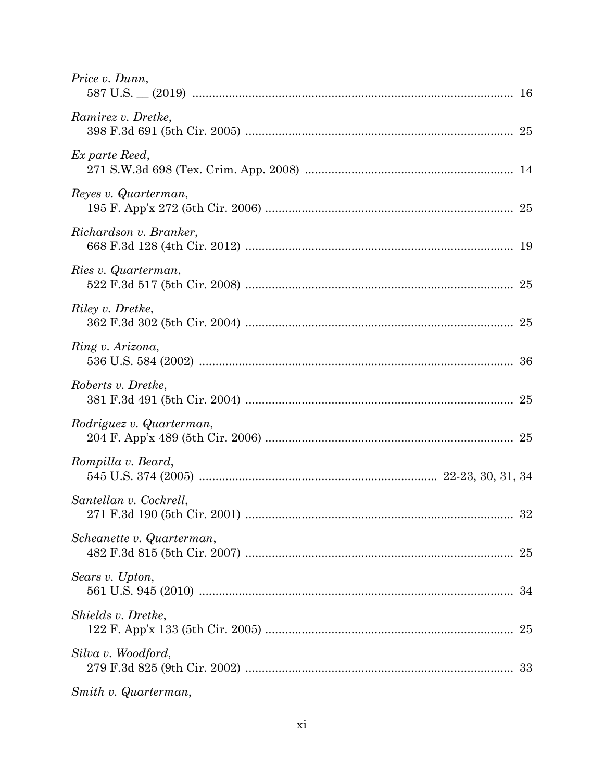| Price v. Dunn,            |  |
|---------------------------|--|
| Ramirez v. Dretke,        |  |
| Ex parte Reed,            |  |
| Reyes v. Quarterman,      |  |
| Richardson v. Branker,    |  |
| Ries v. Quarterman,       |  |
| Riley v. Dretke,          |  |
| Ring v. Arizona,          |  |
| Roberts v. Dretke,        |  |
| Rodriguez v. Quarterman,  |  |
| Rompilla v. Beard,        |  |
| Santellan v. Cockrell,    |  |
| Scheanette v. Quarterman, |  |
| Sears v. Upton,           |  |
| Shields v. Dretke,        |  |
| Silva v. Woodford,        |  |
| Smith v. Quarterman,      |  |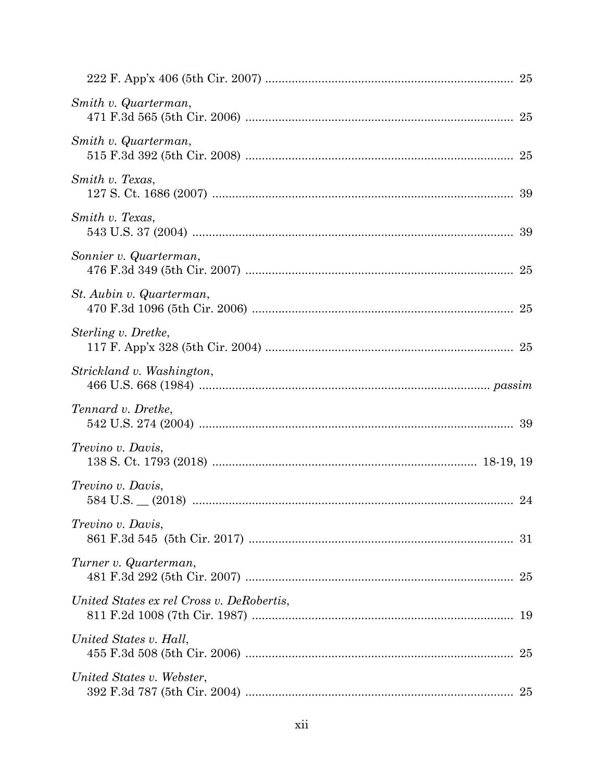| Smith v. Quarterman,                      |  |
|-------------------------------------------|--|
| Smith v. Quarterman,                      |  |
| Smith v. Texas,                           |  |
| Smith v. Texas,                           |  |
| Sonnier v. Quarterman,                    |  |
| St. Aubin v. Quarterman,                  |  |
| Sterling v. Dretke,                       |  |
| Strickland v. Washington,                 |  |
| Tennard v. Dretke,                        |  |
| Trevino v. Davis,                         |  |
| Trevino v. Davis,                         |  |
| Trevino v. Davis,                         |  |
| Turner v. Quarterman,                     |  |
| United States ex rel Cross v. DeRobertis, |  |
| United States v. Hall,                    |  |
| United States v. Webster,                 |  |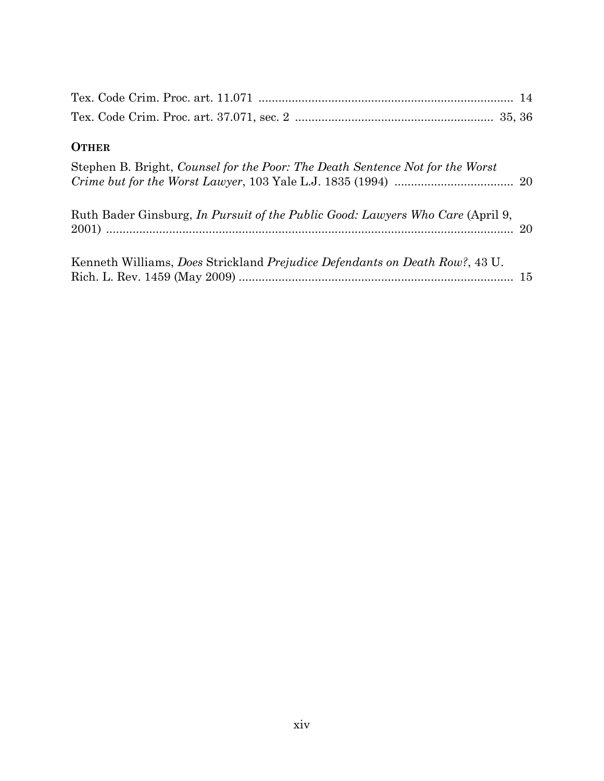| <b>OTHER</b>                                                                        |  |
|-------------------------------------------------------------------------------------|--|
| Stephen B. Bright, Counsel for the Poor: The Death Sentence Not for the Worst       |  |
| Ruth Bader Ginsburg, In Pursuit of the Public Good: Lawyers Who Care (April 9,      |  |
| Kenneth Williams, <i>Does Strickland Prejudice Defendants on Death Row?</i> , 43 U. |  |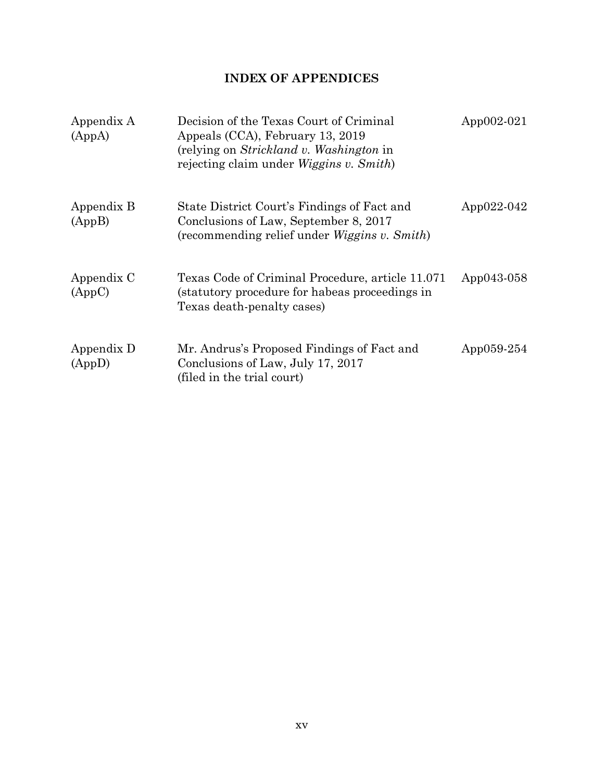## **INDEX OF APPENDICES**

<span id="page-14-0"></span>

| Appendix A<br>(AppA) | Decision of the Texas Court of Criminal<br>Appeals (CCA), February 13, 2019<br>(relying on <i>Strickland v. Washington</i> in<br>rejecting claim under <i>Wiggins v. Smith</i> ) | App $002-021$ |
|----------------------|----------------------------------------------------------------------------------------------------------------------------------------------------------------------------------|---------------|
| Appendix B<br>(AppB) | State District Court's Findings of Fact and<br>Conclusions of Law, September 8, 2017<br>(recommending relief under <i>Wiggins v. Smith</i> )                                     | App022-042    |
| Appendix C<br>(AppC) | Texas Code of Criminal Procedure, article 11.071<br>(statutory procedure for habeas proceedings in<br>Texas death-penalty cases)                                                 | App043-058    |
| Appendix D<br>(AppD) | Mr. Andrus's Proposed Findings of Fact and<br>Conclusions of Law, July 17, 2017<br>(filed in the trial court)                                                                    | App $059-254$ |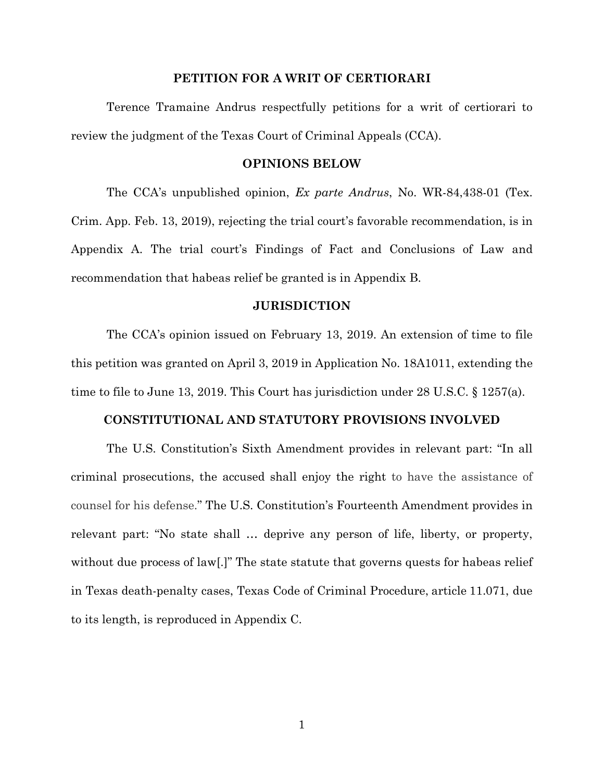#### **PETITION FOR A WRIT OF CERTIORARI**

<span id="page-15-0"></span>Terence Tramaine Andrus respectfully petitions for a writ of certiorari to review the judgment of the Texas Court of Criminal Appeals (CCA).

#### **OPINIONS BELOW**

<span id="page-15-1"></span>The CCA's unpublished opinion, *Ex parte Andrus*, No. WR-84,438-01 (Tex. Crim. App. Feb. 13, 2019), rejecting the trial court's favorable recommendation, is in Appendix A. The trial court's Findings of Fact and Conclusions of Law and recommendation that habeas relief be granted is in Appendix B.

#### <span id="page-15-4"></span>**JURISDICTION**

<span id="page-15-2"></span>The CCA's opinion issued on February 13, 2019. An extension of time to file this petition was granted on April 3, 2019 in Application No. 18A1011, extending the time to file to June 13, 2019. This Court has jurisdiction under 28 U.S.C. § 1257(a).

#### **CONSTITUTIONAL AND STATUTORY PROVISIONS INVOLVED**

<span id="page-15-3"></span>The U.S. Constitution's Sixth Amendment provides in relevant part: "In all criminal prosecutions, the accused shall enjoy the right to have the assistance of counsel for his defense." The U.S. Constitution's Fourteenth Amendment provides in relevant part: "No state shall … deprive any person of life, liberty, or property, without due process of law[.]" The state statute that governs quests for habeas relief in Texas death-penalty cases, Texas Code of Criminal Procedure, article 11.071, due to its length, is reproduced in Appendix C.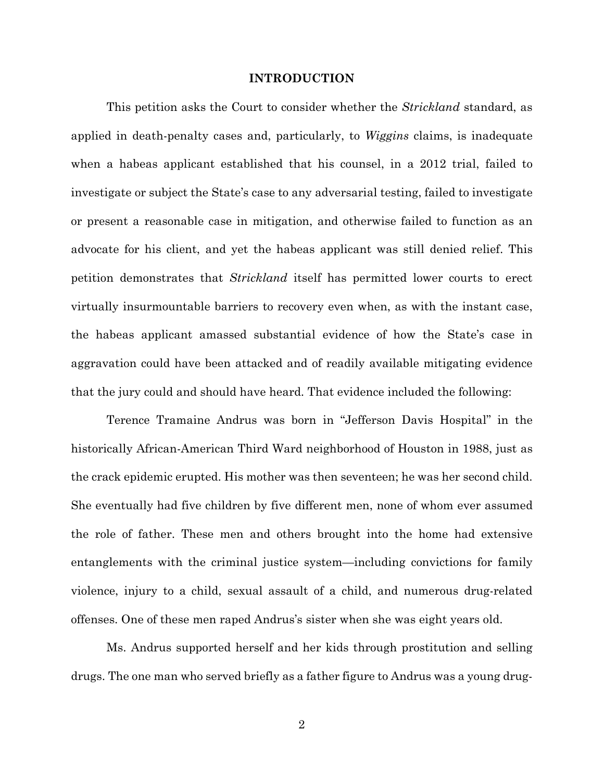#### **INTRODUCTION**

<span id="page-16-0"></span>This petition asks the Court to consider whether the *Strickland* standard, as applied in death-penalty cases and, particularly, to *Wiggins* claims, is inadequate when a habeas applicant established that his counsel, in a 2012 trial, failed to investigate or subject the State's case to any adversarial testing, failed to investigate or present a reasonable case in mitigation, and otherwise failed to function as an advocate for his client, and yet the habeas applicant was still denied relief. This petition demonstrates that *Strickland* itself has permitted lower courts to erect virtually insurmountable barriers to recovery even when, as with the instant case, the habeas applicant amassed substantial evidence of how the State's case in aggravation could have been attacked and of readily available mitigating evidence that the jury could and should have heard. That evidence included the following:

Terence Tramaine Andrus was born in "Jefferson Davis Hospital" in the historically African-American Third Ward neighborhood of Houston in 1988, just as the crack epidemic erupted. His mother was then seventeen; he was her second child. She eventually had five children by five different men, none of whom ever assumed the role of father. These men and others brought into the home had extensive entanglements with the criminal justice system—including convictions for family violence, injury to a child, sexual assault of a child, and numerous drug-related offenses. One of these men raped Andrus's sister when she was eight years old.

Ms. Andrus supported herself and her kids through prostitution and selling drugs. The one man who served briefly as a father figure to Andrus was a young drug-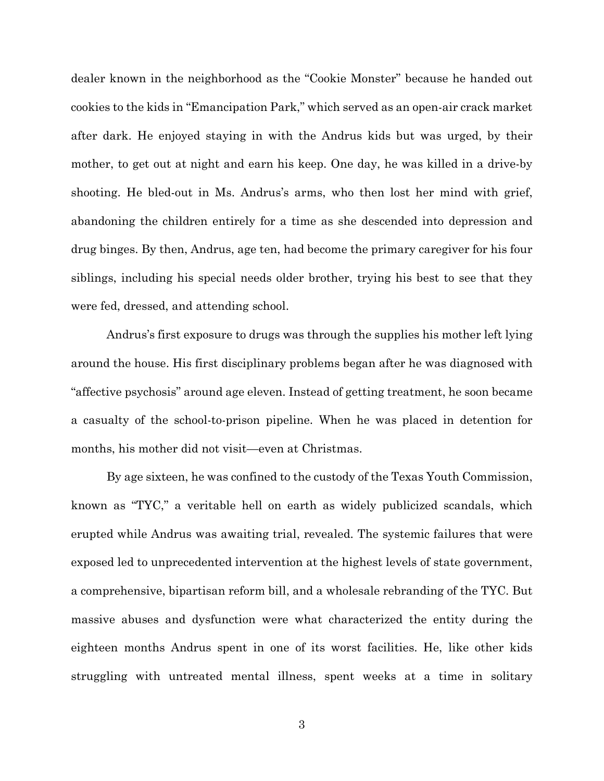dealer known in the neighborhood as the "Cookie Monster" because he handed out cookies to the kids in "Emancipation Park," which served as an open-air crack market after dark. He enjoyed staying in with the Andrus kids but was urged, by their mother, to get out at night and earn his keep. One day, he was killed in a drive-by shooting. He bled-out in Ms. Andrus's arms, who then lost her mind with grief, abandoning the children entirely for a time as she descended into depression and drug binges. By then, Andrus, age ten, had become the primary caregiver for his four siblings, including his special needs older brother, trying his best to see that they were fed, dressed, and attending school.

Andrus's first exposure to drugs was through the supplies his mother left lying around the house. His first disciplinary problems began after he was diagnosed with "affective psychosis" around age eleven. Instead of getting treatment, he soon became a casualty of the school-to-prison pipeline. When he was placed in detention for months, his mother did not visit—even at Christmas.

By age sixteen, he was confined to the custody of the Texas Youth Commission, known as "TYC," a veritable hell on earth as widely publicized scandals, which erupted while Andrus was awaiting trial, revealed. The systemic failures that were exposed led to unprecedented intervention at the highest levels of state government, a comprehensive, bipartisan reform bill, and a wholesale rebranding of the TYC. But massive abuses and dysfunction were what characterized the entity during the eighteen months Andrus spent in one of its worst facilities. He, like other kids struggling with untreated mental illness, spent weeks at a time in solitary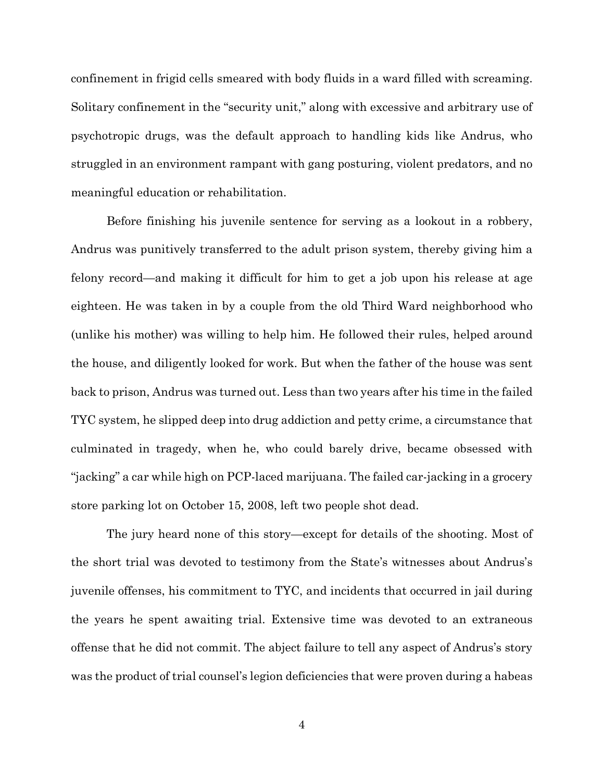confinement in frigid cells smeared with body fluids in a ward filled with screaming. Solitary confinement in the "security unit," along with excessive and arbitrary use of psychotropic drugs, was the default approach to handling kids like Andrus, who struggled in an environment rampant with gang posturing, violent predators, and no meaningful education or rehabilitation.

Before finishing his juvenile sentence for serving as a lookout in a robbery, Andrus was punitively transferred to the adult prison system, thereby giving him a felony record—and making it difficult for him to get a job upon his release at age eighteen. He was taken in by a couple from the old Third Ward neighborhood who (unlike his mother) was willing to help him. He followed their rules, helped around the house, and diligently looked for work. But when the father of the house was sent back to prison, Andrus was turned out. Less than two years after his time in the failed TYC system, he slipped deep into drug addiction and petty crime, a circumstance that culminated in tragedy, when he, who could barely drive, became obsessed with "jacking" a car while high on PCP-laced marijuana. The failed car-jacking in a grocery store parking lot on October 15, 2008, left two people shot dead.

The jury heard none of this story—except for details of the shooting. Most of the short trial was devoted to testimony from the State's witnesses about Andrus's juvenile offenses, his commitment to TYC, and incidents that occurred in jail during the years he spent awaiting trial. Extensive time was devoted to an extraneous offense that he did not commit. The abject failure to tell any aspect of Andrus's story was the product of trial counsel's legion deficiencies that were proven during a habeas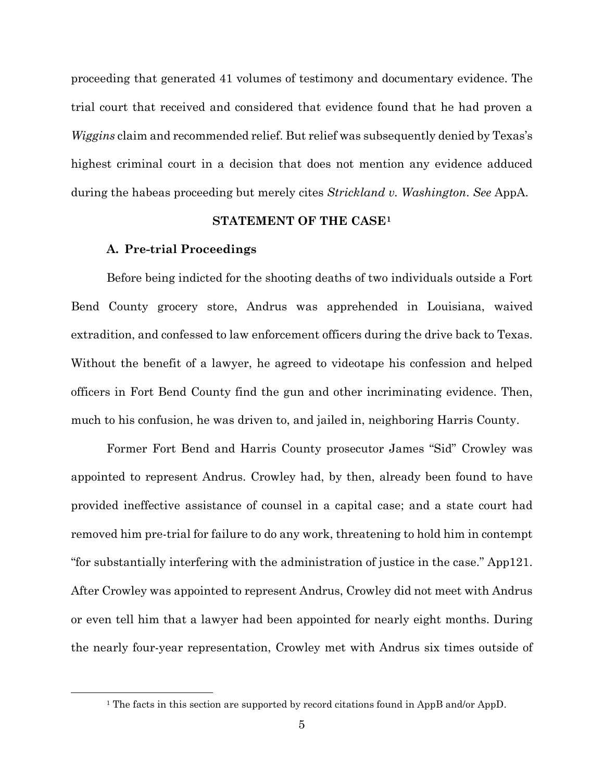proceeding that generated 41 volumes of testimony and documentary evidence. The trial court that received and considered that evidence found that he had proven a *Wiggins* claim and recommended relief. But relief was subsequently denied by Texas's highest criminal court in a decision that does not mention any evidence adduced during the habeas proceeding but merely cites *Strickland v. Washington*. *See* AppA.

#### **STATEMENT OF THE CASE[1](#page-19-2)**

#### <span id="page-19-0"></span>**A. Pre-trial Proceedings**

<span id="page-19-1"></span>Before being indicted for the shooting deaths of two individuals outside a Fort Bend County grocery store, Andrus was apprehended in Louisiana, waived extradition, and confessed to law enforcement officers during the drive back to Texas. Without the benefit of a lawyer, he agreed to videotape his confession and helped officers in Fort Bend County find the gun and other incriminating evidence. Then, much to his confusion, he was driven to, and jailed in, neighboring Harris County.

Former Fort Bend and Harris County prosecutor James "Sid" Crowley was appointed to represent Andrus. Crowley had, by then, already been found to have provided ineffective assistance of counsel in a capital case; and a state court had removed him pre-trial for failure to do any work, threatening to hold him in contempt "for substantially interfering with the administration of justice in the case." App121. After Crowley was appointed to represent Andrus, Crowley did not meet with Andrus or even tell him that a lawyer had been appointed for nearly eight months. During the nearly four-year representation, Crowley met with Andrus six times outside of

<span id="page-19-2"></span> <sup>1</sup> The facts in this section are supported by record citations found in AppB and/or AppD.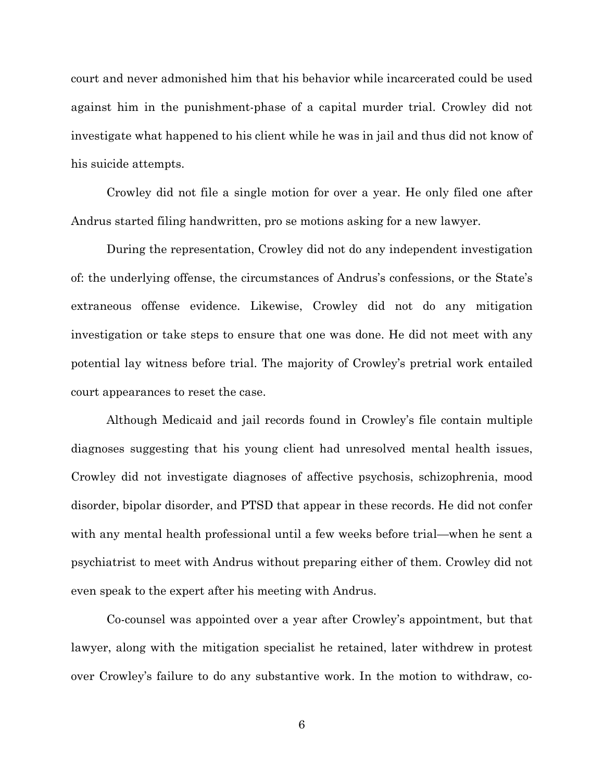court and never admonished him that his behavior while incarcerated could be used against him in the punishment-phase of a capital murder trial. Crowley did not investigate what happened to his client while he was in jail and thus did not know of his suicide attempts.

Crowley did not file a single motion for over a year. He only filed one after Andrus started filing handwritten, pro se motions asking for a new lawyer.

During the representation, Crowley did not do any independent investigation of: the underlying offense, the circumstances of Andrus's confessions, or the State's extraneous offense evidence. Likewise, Crowley did not do any mitigation investigation or take steps to ensure that one was done. He did not meet with any potential lay witness before trial. The majority of Crowley's pretrial work entailed court appearances to reset the case.

Although Medicaid and jail records found in Crowley's file contain multiple diagnoses suggesting that his young client had unresolved mental health issues, Crowley did not investigate diagnoses of affective psychosis, schizophrenia, mood disorder, bipolar disorder, and PTSD that appear in these records. He did not confer with any mental health professional until a few weeks before trial—when he sent a psychiatrist to meet with Andrus without preparing either of them. Crowley did not even speak to the expert after his meeting with Andrus.

Co-counsel was appointed over a year after Crowley's appointment, but that lawyer, along with the mitigation specialist he retained, later withdrew in protest over Crowley's failure to do any substantive work. In the motion to withdraw, co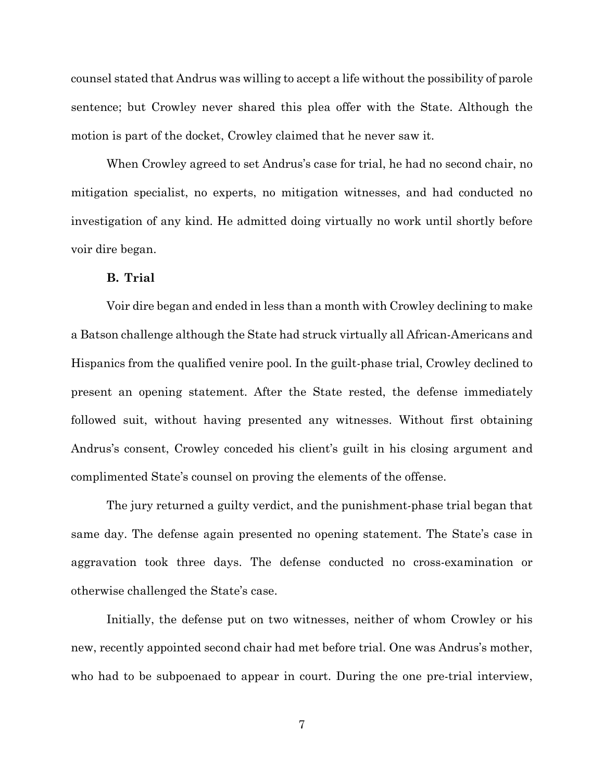counsel stated that Andrus was willing to accept a life without the possibility of parole sentence; but Crowley never shared this plea offer with the State. Although the motion is part of the docket, Crowley claimed that he never saw it.

When Crowley agreed to set Andrus's case for trial, he had no second chair, no mitigation specialist, no experts, no mitigation witnesses, and had conducted no investigation of any kind. He admitted doing virtually no work until shortly before voir dire began.

#### **B. Trial**

<span id="page-21-0"></span>Voir dire began and ended in less than a month with Crowley declining to make a Batson challenge although the State had struck virtually all African-Americans and Hispanics from the qualified venire pool. In the guilt-phase trial, Crowley declined to present an opening statement. After the State rested, the defense immediately followed suit, without having presented any witnesses. Without first obtaining Andrus's consent, Crowley conceded his client's guilt in his closing argument and complimented State's counsel on proving the elements of the offense.

The jury returned a guilty verdict, and the punishment-phase trial began that same day. The defense again presented no opening statement. The State's case in aggravation took three days. The defense conducted no cross-examination or otherwise challenged the State's case.

Initially, the defense put on two witnesses, neither of whom Crowley or his new, recently appointed second chair had met before trial. One was Andrus's mother, who had to be subpoenaed to appear in court. During the one pre-trial interview,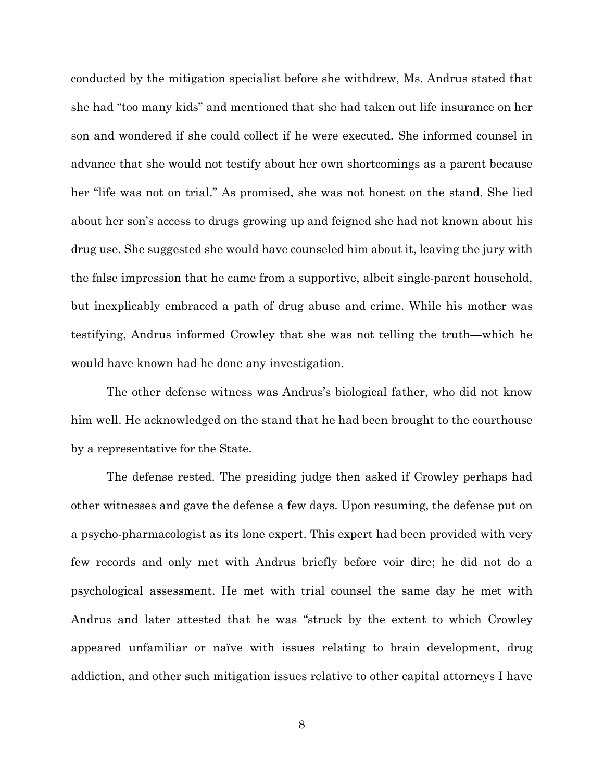conducted by the mitigation specialist before she withdrew, Ms. Andrus stated that she had "too many kids" and mentioned that she had taken out life insurance on her son and wondered if she could collect if he were executed. She informed counsel in advance that she would not testify about her own shortcomings as a parent because her "life was not on trial." As promised, she was not honest on the stand. She lied about her son's access to drugs growing up and feigned she had not known about his drug use. She suggested she would have counseled him about it, leaving the jury with the false impression that he came from a supportive, albeit single-parent household, but inexplicably embraced a path of drug abuse and crime. While his mother was testifying, Andrus informed Crowley that she was not telling the truth—which he would have known had he done any investigation.

The other defense witness was Andrus's biological father, who did not know him well. He acknowledged on the stand that he had been brought to the courthouse by a representative for the State.

The defense rested. The presiding judge then asked if Crowley perhaps had other witnesses and gave the defense a few days. Upon resuming, the defense put on a psycho-pharmacologist as its lone expert. This expert had been provided with very few records and only met with Andrus briefly before voir dire; he did not do a psychological assessment. He met with trial counsel the same day he met with Andrus and later attested that he was "struck by the extent to which Crowley appeared unfamiliar or naïve with issues relating to brain development, drug addiction, and other such mitigation issues relative to other capital attorneys I have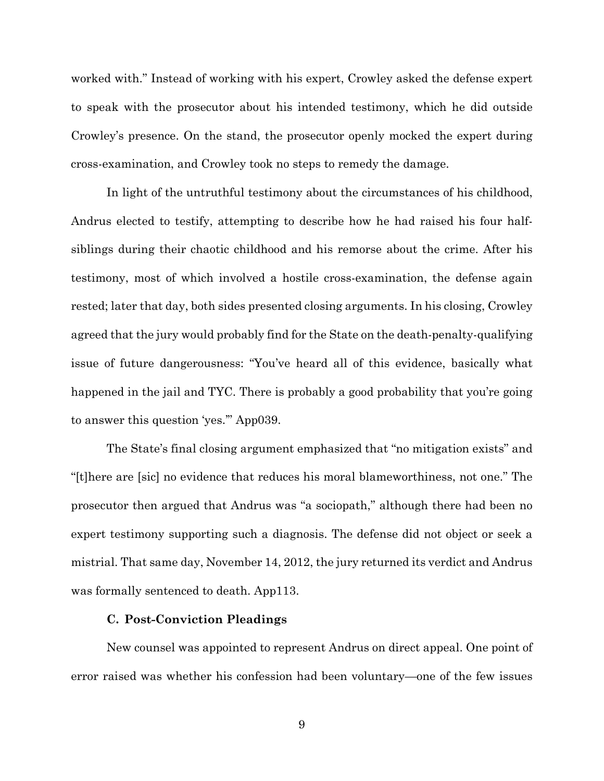worked with." Instead of working with his expert, Crowley asked the defense expert to speak with the prosecutor about his intended testimony, which he did outside Crowley's presence. On the stand, the prosecutor openly mocked the expert during cross-examination, and Crowley took no steps to remedy the damage.

In light of the untruthful testimony about the circumstances of his childhood, Andrus elected to testify, attempting to describe how he had raised his four halfsiblings during their chaotic childhood and his remorse about the crime. After his testimony, most of which involved a hostile cross-examination, the defense again rested; later that day, both sides presented closing arguments. In his closing, Crowley agreed that the jury would probably find for the State on the death-penalty-qualifying issue of future dangerousness: "You've heard all of this evidence, basically what happened in the jail and TYC. There is probably a good probability that you're going to answer this question 'yes.'" App039.

The State's final closing argument emphasized that "no mitigation exists" and "[t]here are [sic] no evidence that reduces his moral blameworthiness, not one." The prosecutor then argued that Andrus was "a sociopath," although there had been no expert testimony supporting such a diagnosis. The defense did not object or seek a mistrial. That same day, November 14, 2012, the jury returned its verdict and Andrus was formally sentenced to death. App113.

#### **C. Post-Conviction Pleadings**

<span id="page-23-0"></span>New counsel was appointed to represent Andrus on direct appeal. One point of error raised was whether his confession had been voluntary—one of the few issues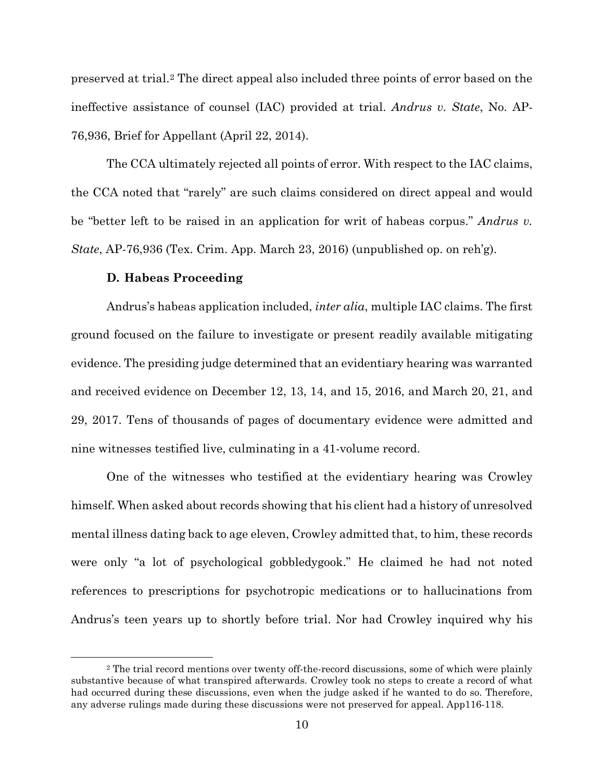preserved at trial.[2](#page-24-1) The direct appeal also included three points of error based on the ineffective assistance of counsel (IAC) provided at trial. *Andrus v. State*, No. AP-76,936, Brief for Appellant (April 22, 2014).

The CCA ultimately rejected all points of error. With respect to the IAC claims, the CCA noted that "rarely" are such claims considered on direct appeal and would be "better left to be raised in an application for writ of habeas corpus." *Andrus v. State*, AP-76,936 (Tex. Crim. App. March 23, 2016) (unpublished op. on reh'g).

#### **D. Habeas Proceeding**

<span id="page-24-0"></span>Andrus's habeas application included, *inter alia*, multiple IAC claims. The first ground focused on the failure to investigate or present readily available mitigating evidence. The presiding judge determined that an evidentiary hearing was warranted and received evidence on December 12, 13, 14, and 15, 2016, and March 20, 21, and 29, 2017. Tens of thousands of pages of documentary evidence were admitted and nine witnesses testified live, culminating in a 41-volume record.

One of the witnesses who testified at the evidentiary hearing was Crowley himself. When asked about records showing that his client had a history of unresolved mental illness dating back to age eleven, Crowley admitted that, to him, these records were only "a lot of psychological gobbledygook." He claimed he had not noted references to prescriptions for psychotropic medications or to hallucinations from Andrus's teen years up to shortly before trial. Nor had Crowley inquired why his

<span id="page-24-1"></span><sup>&</sup>lt;sup>2</sup> The trial record mentions over twenty off-the-record discussions, some of which were plainly substantive because of what transpired afterwards. Crowley took no steps to create a record of what had occurred during these discussions, even when the judge asked if he wanted to do so. Therefore, any adverse rulings made during these discussions were not preserved for appeal. App116-118.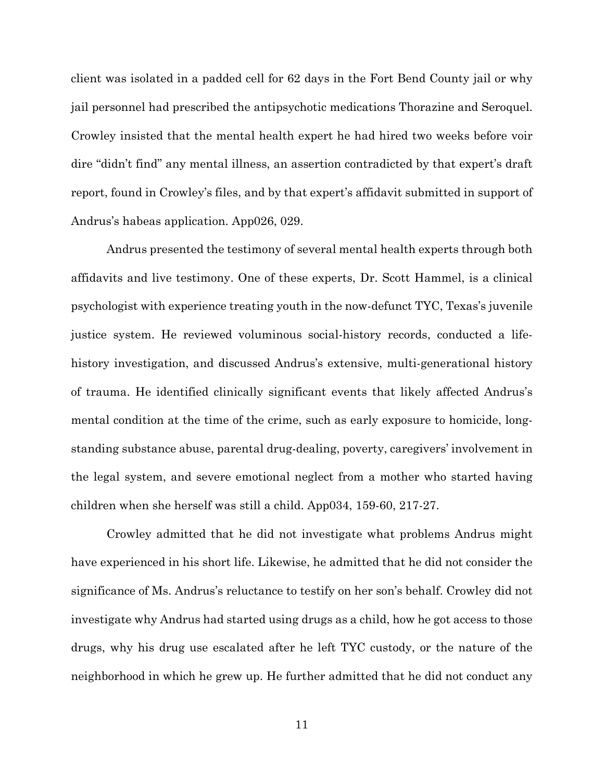client was isolated in a padded cell for 62 days in the Fort Bend County jail or why jail personnel had prescribed the antipsychotic medications Thorazine and Seroquel. Crowley insisted that the mental health expert he had hired two weeks before voir dire "didn't find" any mental illness, an assertion contradicted by that expert's draft report, found in Crowley's files, and by that expert's affidavit submitted in support of Andrus's habeas application. App026, 029.

Andrus presented the testimony of several mental health experts through both affidavits and live testimony. One of these experts, Dr. Scott Hammel, is a clinical psychologist with experience treating youth in the now-defunct TYC, Texas's juvenile justice system. He reviewed voluminous social-history records, conducted a lifehistory investigation, and discussed Andrus's extensive, multi-generational history of trauma. He identified clinically significant events that likely affected Andrus's mental condition at the time of the crime, such as early exposure to homicide, longstanding substance abuse, parental drug-dealing, poverty, caregivers' involvement in the legal system, and severe emotional neglect from a mother who started having children when she herself was still a child. App034, 159-60, 217-27.

Crowley admitted that he did not investigate what problems Andrus might have experienced in his short life. Likewise, he admitted that he did not consider the significance of Ms. Andrus's reluctance to testify on her son's behalf. Crowley did not investigate why Andrus had started using drugs as a child, how he got access to those drugs, why his drug use escalated after he left TYC custody, or the nature of the neighborhood in which he grew up. He further admitted that he did not conduct any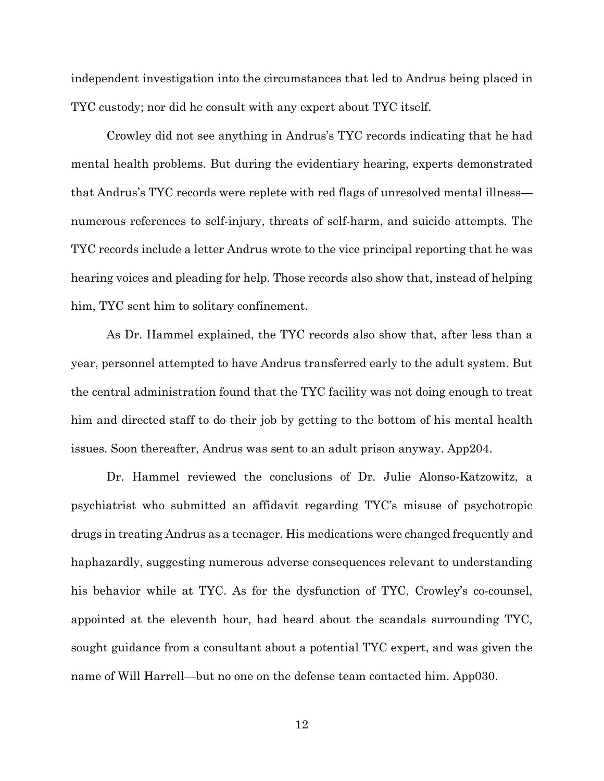independent investigation into the circumstances that led to Andrus being placed in TYC custody; nor did he consult with any expert about TYC itself.

Crowley did not see anything in Andrus's TYC records indicating that he had mental health problems. But during the evidentiary hearing, experts demonstrated that Andrus's TYC records were replete with red flags of unresolved mental illness numerous references to self-injury, threats of self-harm, and suicide attempts. The TYC records include a letter Andrus wrote to the vice principal reporting that he was hearing voices and pleading for help. Those records also show that, instead of helping him, TYC sent him to solitary confinement.

As Dr. Hammel explained, the TYC records also show that, after less than a year, personnel attempted to have Andrus transferred early to the adult system. But the central administration found that the TYC facility was not doing enough to treat him and directed staff to do their job by getting to the bottom of his mental health issues. Soon thereafter, Andrus was sent to an adult prison anyway. App204.

Dr. Hammel reviewed the conclusions of Dr. Julie Alonso-Katzowitz, a psychiatrist who submitted an affidavit regarding TYC's misuse of psychotropic drugs in treating Andrus as a teenager. His medications were changed frequently and haphazardly, suggesting numerous adverse consequences relevant to understanding his behavior while at TYC. As for the dysfunction of TYC, Crowley's co-counsel, appointed at the eleventh hour, had heard about the scandals surrounding TYC, sought guidance from a consultant about a potential TYC expert, and was given the name of Will Harrell—but no one on the defense team contacted him. App030.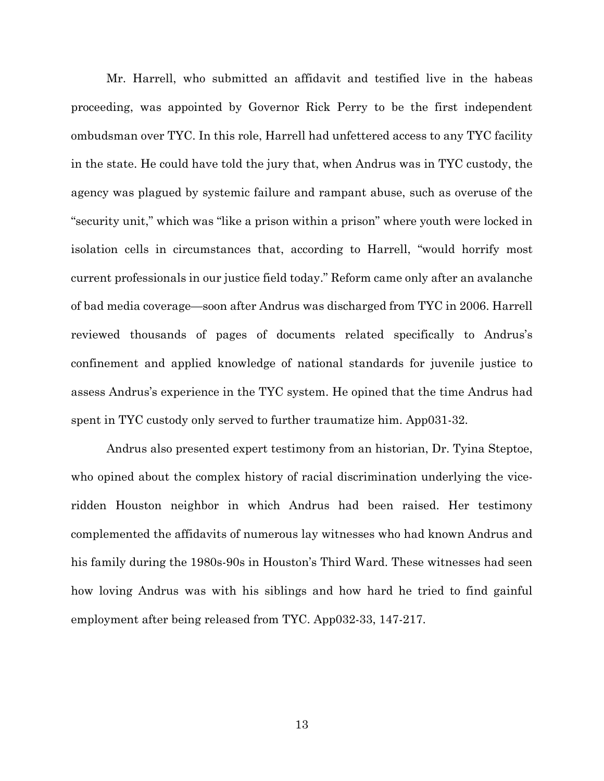Mr. Harrell, who submitted an affidavit and testified live in the habeas proceeding, was appointed by Governor Rick Perry to be the first independent ombudsman over TYC. In this role, Harrell had unfettered access to any TYC facility in the state. He could have told the jury that, when Andrus was in TYC custody, the agency was plagued by systemic failure and rampant abuse, such as overuse of the "security unit," which was "like a prison within a prison" where youth were locked in isolation cells in circumstances that, according to Harrell, "would horrify most current professionals in our justice field today." Reform came only after an avalanche of bad media coverage—soon after Andrus was discharged from TYC in 2006. Harrell reviewed thousands of pages of documents related specifically to Andrus's confinement and applied knowledge of national standards for juvenile justice to assess Andrus's experience in the TYC system. He opined that the time Andrus had spent in TYC custody only served to further traumatize him. App031-32.

Andrus also presented expert testimony from an historian, Dr. Tyina Steptoe, who opined about the complex history of racial discrimination underlying the viceridden Houston neighbor in which Andrus had been raised. Her testimony complemented the affidavits of numerous lay witnesses who had known Andrus and his family during the 1980s-90s in Houston's Third Ward. These witnesses had seen how loving Andrus was with his siblings and how hard he tried to find gainful employment after being released from TYC. App032-33, 147-217.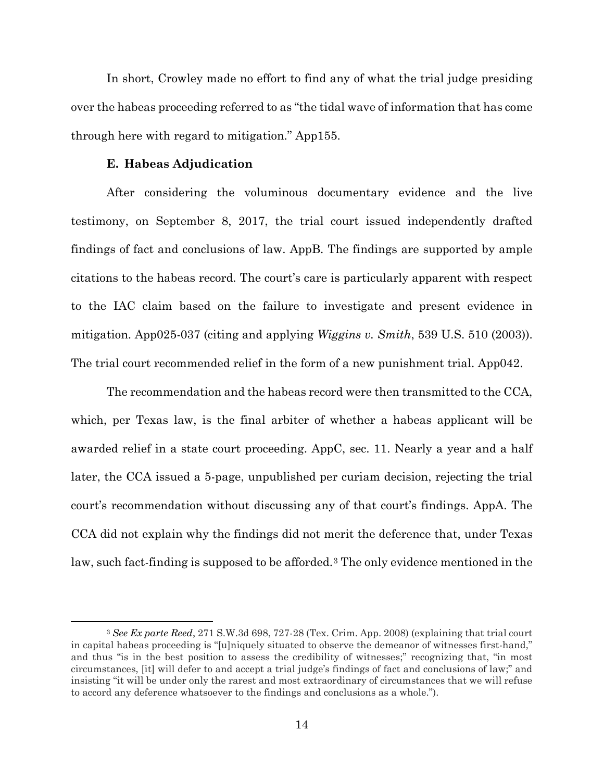In short, Crowley made no effort to find any of what the trial judge presiding over the habeas proceeding referred to as "the tidal wave of information that has come through here with regard to mitigation." App155.

#### **E. Habeas Adjudication**

<span id="page-28-0"></span>After considering the voluminous documentary evidence and the live testimony, on September 8, 2017, the trial court issued independently drafted findings of fact and conclusions of law. AppB. The findings are supported by ample citations to the habeas record. The court's care is particularly apparent with respect to the IAC claim based on the failure to investigate and present evidence in mitigation. App025-037 (citing and applying *Wiggins v. Smith*, 539 U.S. 510 (2003)). The trial court recommended relief in the form of a new punishment trial. App042.

<span id="page-28-2"></span>The recommendation and the habeas record were then transmitted to the CCA, which, per Texas law, is the final arbiter of whether a habeas applicant will be awarded relief in a state court proceeding. AppC, sec. 11. Nearly a year and a half later, the CCA issued a 5-page, unpublished per curiam decision, rejecting the trial court's recommendation without discussing any of that court's findings. AppA. The CCA did not explain why the findings did not merit the deference that, under Texas law, such fact-finding is supposed to be afforded.<sup>[3](#page-28-3)</sup> The only evidence mentioned in the

<span id="page-28-3"></span><span id="page-28-1"></span> <sup>3</sup> *See Ex parte Reed*, 271 S.W.3d 698, 727-28 (Tex. Crim. App. 2008) (explaining that trial court in capital habeas proceeding is "[u]niquely situated to observe the demeanor of witnesses first-hand," and thus "is in the best position to assess the credibility of witnesses;" recognizing that, "in most circumstances, [it] will defer to and accept a trial judge's findings of fact and conclusions of law;" and insisting "it will be under only the rarest and most extraordinary of circumstances that we will refuse to accord any deference whatsoever to the findings and conclusions as a whole.").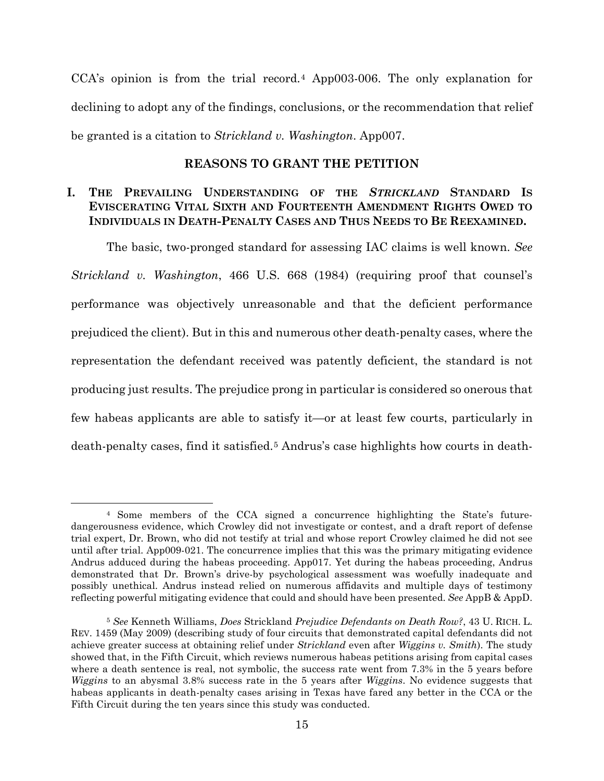CCA's opinion is from the trial record.[4](#page-29-3) App003-006. The only explanation for declining to adopt any of the findings, conclusions, or the recommendation that relief be granted is a citation to *Strickland v. Washington*. App007.

### **REASONS TO GRANT THE PETITION**

## <span id="page-29-1"></span><span id="page-29-0"></span>**I. THE PREVAILING UNDERSTANDING OF THE** *STRICKLAND* **STANDARD IS EVISCERATING VITAL SIXTH AND FOURTEENTH AMENDMENT RIGHTS OWED TO INDIVIDUALS IN DEATH-PENALTY CASES AND THUS NEEDS TO BE REEXAMINED.**

The basic, two-pronged standard for assessing IAC claims is well known. *See Strickland v. Washington*, 466 U.S. 668 (1984) (requiring proof that counsel's performance was objectively unreasonable and that the deficient performance prejudiced the client). But in this and numerous other death-penalty cases, where the representation the defendant received was patently deficient, the standard is not producing just results. The prejudice prong in particular is considered so onerous that few habeas applicants are able to satisfy it—or at least few courts, particularly in death-penalty cases, find it satisfied.<sup>[5](#page-29-4)</sup> Andrus's case highlights how courts in death-

<span id="page-29-3"></span> <sup>4</sup> Some members of the CCA signed a concurrence highlighting the State's futuredangerousness evidence, which Crowley did not investigate or contest, and a draft report of defense trial expert, Dr. Brown, who did not testify at trial and whose report Crowley claimed he did not see until after trial. App009-021. The concurrence implies that this was the primary mitigating evidence Andrus adduced during the habeas proceeding. App017. Yet during the habeas proceeding, Andrus demonstrated that Dr. Brown's drive-by psychological assessment was woefully inadequate and possibly unethical. Andrus instead relied on numerous affidavits and multiple days of testimony reflecting powerful mitigating evidence that could and should have been presented. *See* AppB & AppD.

<span id="page-29-4"></span><span id="page-29-2"></span><sup>5</sup> *See* Kenneth Williams, *Does* Strickland *Prejudice Defendants on Death Row?*, 43 U. RICH. L. REV. 1459 (May 2009) (describing study of four circuits that demonstrated capital defendants did not achieve greater success at obtaining relief under *Strickland* even after *Wiggins v. Smith*). The study showed that, in the Fifth Circuit, which reviews numerous habeas petitions arising from capital cases where a death sentence is real, not symbolic, the success rate went from 7.3% in the 5 years before *Wiggins* to an abysmal 3.8% success rate in the 5 years after *Wiggins*. No evidence suggests that habeas applicants in death-penalty cases arising in Texas have fared any better in the CCA or the Fifth Circuit during the ten years since this study was conducted.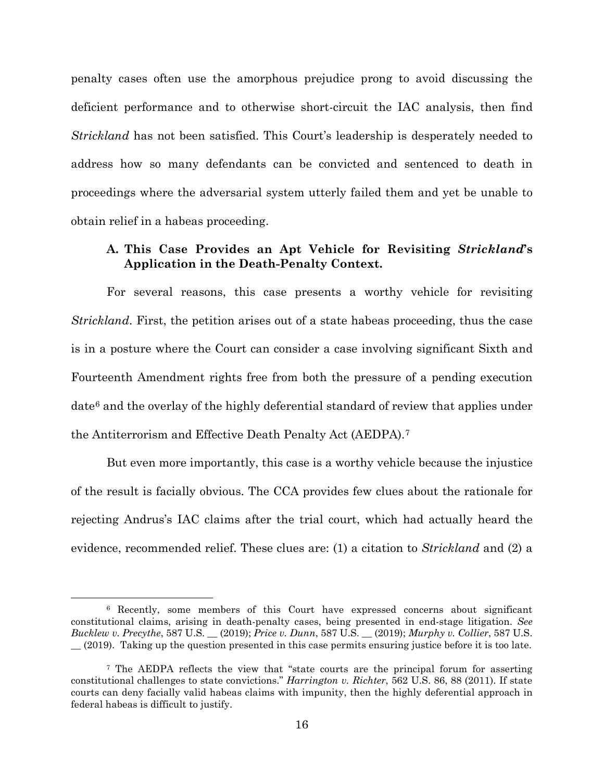penalty cases often use the amorphous prejudice prong to avoid discussing the deficient performance and to otherwise short-circuit the IAC analysis, then find *Strickland* has not been satisfied. This Court's leadership is desperately needed to address how so many defendants can be convicted and sentenced to death in proceedings where the adversarial system utterly failed them and yet be unable to obtain relief in a habeas proceeding.

## <span id="page-30-0"></span>**A. This Case Provides an Apt Vehicle for Revisiting** *Strickland***'s Application in the Death-Penalty Context.**

For several reasons, this case presents a worthy vehicle for revisiting *Strickland*. First, the petition arises out of a state habeas proceeding, thus the case is in a posture where the Court can consider a case involving significant Sixth and Fourteenth Amendment rights free from both the pressure of a pending execution date[6](#page-30-5) and the overlay of the highly deferential standard of review that applies under the Antiterrorism and Effective Death Penalty Act (AEDPA).[7](#page-30-6)

But even more importantly, this case is a worthy vehicle because the injustice of the result is facially obvious. The CCA provides few clues about the rationale for rejecting Andrus's IAC claims after the trial court, which had actually heard the evidence, recommended relief. These clues are: (1) a citation to *Strickland* and (2) a

<span id="page-30-5"></span><span id="page-30-4"></span><span id="page-30-3"></span><span id="page-30-1"></span> <sup>6</sup> Recently, some members of this Court have expressed concerns about significant constitutional claims, arising in death-penalty cases, being presented in end-stage litigation. *See Bucklew v. Precythe*, 587 U.S. \_\_ (2019); *Price v. Dunn*, 587 U.S. \_\_ (2019); *Murphy v. Collier*, 587 U.S. \_\_ (2019). Taking up the question presented in this case permits ensuring justice before it is too late.

<span id="page-30-6"></span><span id="page-30-2"></span><sup>7</sup> The AEDPA reflects the view that "state courts are the principal forum for asserting constitutional challenges to state convictions." *Harrington v. Richter*, 562 U.S. 86, 88 (2011). If state courts can deny facially valid habeas claims with impunity, then the highly deferential approach in federal habeas is difficult to justify.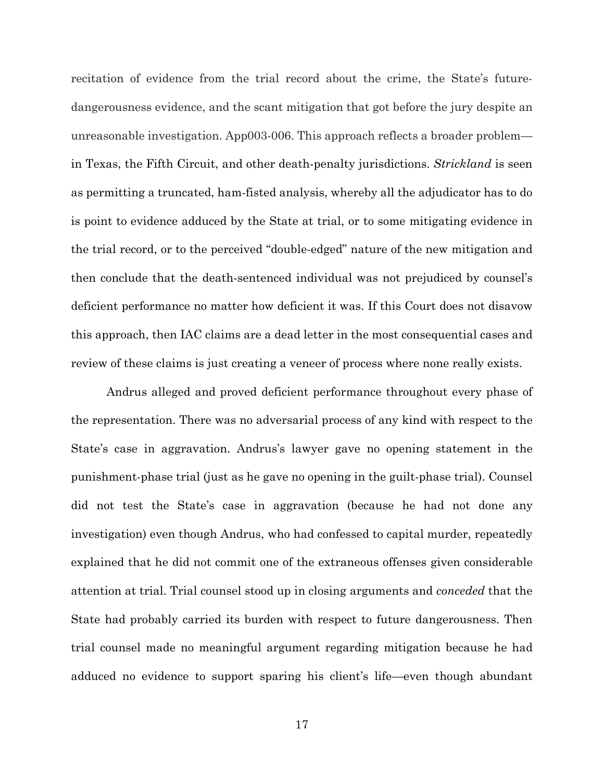recitation of evidence from the trial record about the crime, the State's futuredangerousness evidence, and the scant mitigation that got before the jury despite an unreasonable investigation. App003-006. This approach reflects a broader problem in Texas, the Fifth Circuit, and other death-penalty jurisdictions. *Strickland* is seen as permitting a truncated, ham-fisted analysis, whereby all the adjudicator has to do is point to evidence adduced by the State at trial, or to some mitigating evidence in the trial record, or to the perceived "double-edged" nature of the new mitigation and then conclude that the death-sentenced individual was not prejudiced by counsel's deficient performance no matter how deficient it was. If this Court does not disavow this approach, then IAC claims are a dead letter in the most consequential cases and review of these claims is just creating a veneer of process where none really exists.

Andrus alleged and proved deficient performance throughout every phase of the representation. There was no adversarial process of any kind with respect to the State's case in aggravation. Andrus's lawyer gave no opening statement in the punishment-phase trial (just as he gave no opening in the guilt-phase trial). Counsel did not test the State's case in aggravation (because he had not done any investigation) even though Andrus, who had confessed to capital murder, repeatedly explained that he did not commit one of the extraneous offenses given considerable attention at trial. Trial counsel stood up in closing arguments and *conceded* that the State had probably carried its burden with respect to future dangerousness. Then trial counsel made no meaningful argument regarding mitigation because he had adduced no evidence to support sparing his client's life—even though abundant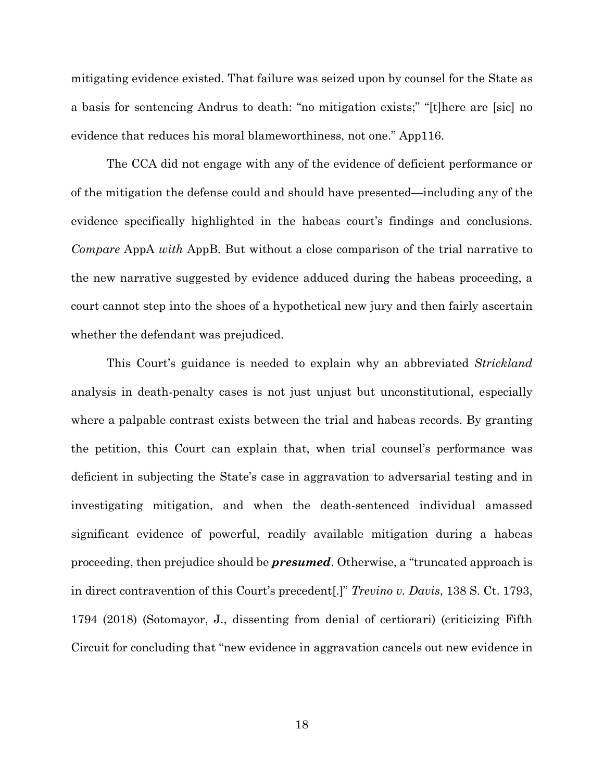mitigating evidence existed. That failure was seized upon by counsel for the State as a basis for sentencing Andrus to death: "no mitigation exists;" "[t]here are [sic] no evidence that reduces his moral blameworthiness, not one." App116.

The CCA did not engage with any of the evidence of deficient performance or of the mitigation the defense could and should have presented—including any of the evidence specifically highlighted in the habeas court's findings and conclusions. *Compare* AppA *with* AppB. But without a close comparison of the trial narrative to the new narrative suggested by evidence adduced during the habeas proceeding, a court cannot step into the shoes of a hypothetical new jury and then fairly ascertain whether the defendant was prejudiced.

<span id="page-32-0"></span>This Court's guidance is needed to explain why an abbreviated *Strickland* analysis in death-penalty cases is not just unjust but unconstitutional, especially where a palpable contrast exists between the trial and habeas records. By granting the petition, this Court can explain that, when trial counsel's performance was deficient in subjecting the State's case in aggravation to adversarial testing and in investigating mitigation, and when the death-sentenced individual amassed significant evidence of powerful, readily available mitigation during a habeas proceeding, then prejudice should be *presumed*. Otherwise, a "truncated approach is in direct contravention of this Court's precedent[.]" *Trevino v. Davis*, 138 S. Ct. 1793, 1794 (2018) (Sotomayor, J., dissenting from denial of certiorari) (criticizing Fifth Circuit for concluding that "new evidence in aggravation cancels out new evidence in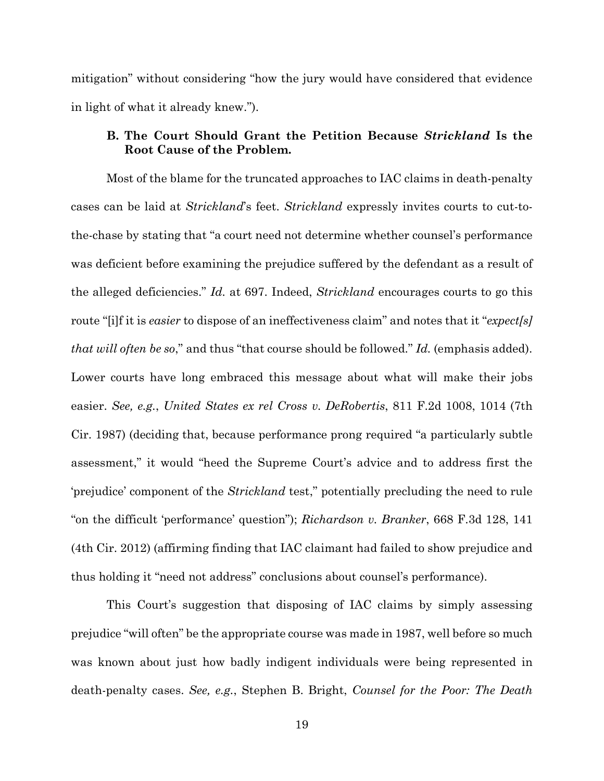mitigation" without considering "how the jury would have considered that evidence in light of what it already knew.").

### <span id="page-33-0"></span>**B. The Court Should Grant the Petition Because** *Strickland* **Is the Root Cause of the Problem.**

<span id="page-33-2"></span>Most of the blame for the truncated approaches to IAC claims in death-penalty cases can be laid at *Strickland*'s feet. *Strickland* expressly invites courts to cut-tothe-chase by stating that "a court need not determine whether counsel's performance was deficient before examining the prejudice suffered by the defendant as a result of the alleged deficiencies." *Id.* at 697. Indeed, *Strickland* encourages courts to go this route "[i]f it is *easier* to dispose of an ineffectiveness claim" and notes that it "*expect[s] that will often be so*," and thus "that course should be followed." *Id.* (emphasis added). Lower courts have long embraced this message about what will make their jobs easier. *See, e.g.*, *United States ex rel Cross v. DeRobertis*, 811 F.2d 1008, 1014 (7th Cir. 1987) (deciding that, because performance prong required "a particularly subtle assessment," it would "heed the Supreme Court's advice and to address first the 'prejudice' component of the *Strickland* test," potentially precluding the need to rule "on the difficult 'performance' question"); *Richardson v. Branker*, 668 F.3d 128, 141 (4th Cir. 2012) (affirming finding that IAC claimant had failed to show prejudice and thus holding it "need not address" conclusions about counsel's performance).

<span id="page-33-3"></span><span id="page-33-1"></span>This Court's suggestion that disposing of IAC claims by simply assessing prejudice "will often" be the appropriate course was made in 1987, well before so much was known about just how badly indigent individuals were being represented in death-penalty cases. *See, e.g.*, Stephen B. Bright, *Counsel for the Poor: The Death*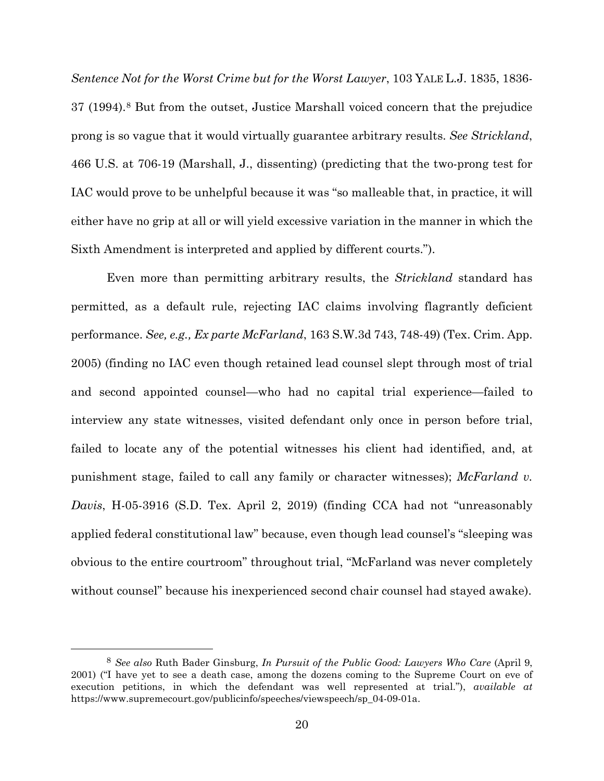<span id="page-34-1"></span>*Sentence Not for the Worst Crime but for the Worst Lawyer*, 103 YALE L.J. 1835, 1836- 37 (1994).[8](#page-34-2) But from the outset, Justice Marshall voiced concern that the prejudice prong is so vague that it would virtually guarantee arbitrary results. *See Strickland*, 466 U.S. at 706-19 (Marshall, J., dissenting) (predicting that the two-prong test for IAC would prove to be unhelpful because it was "so malleable that, in practice, it will either have no grip at all or will yield excessive variation in the manner in which the Sixth Amendment is interpreted and applied by different courts.").

<span id="page-34-0"></span>Even more than permitting arbitrary results, the *Strickland* standard has permitted, as a default rule, rejecting IAC claims involving flagrantly deficient performance. *See, e.g., Ex parte McFarland*, 163 S.W.3d 743, 748-49) (Tex. Crim. App. 2005) (finding no IAC even though retained lead counsel slept through most of trial and second appointed counsel—who had no capital trial experience—failed to interview any state witnesses, visited defendant only once in person before trial, failed to locate any of the potential witnesses his client had identified, and, at punishment stage, failed to call any family or character witnesses); *McFarland v. Davis*, H-05-3916 (S.D. Tex. April 2, 2019) (finding CCA had not "unreasonably applied federal constitutional law" because, even though lead counsel's "sleeping was obvious to the entire courtroom" throughout trial, "McFarland was never completely without counsel" because his inexperienced second chair counsel had stayed awake).

<span id="page-34-2"></span> <sup>8</sup> *See also* Ruth Bader Ginsburg, *In Pursuit of the Public Good: Lawyers Who Care* (April 9, 2001) ("I have yet to see a death case, among the dozens coming to the Supreme Court on eve of execution petitions, in which the defendant was well represented at trial."), *available at* https://www.supremecourt.gov/publicinfo/speeches/viewspeech/sp\_04-09-01a.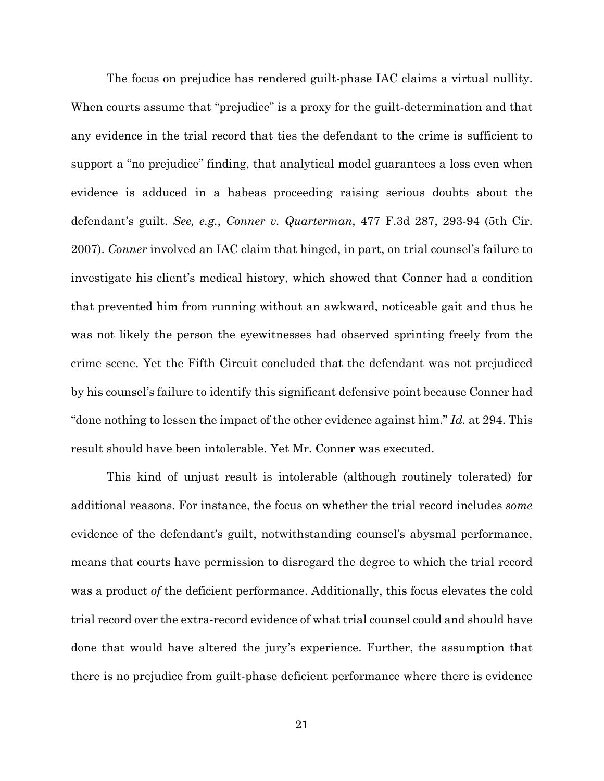<span id="page-35-0"></span>The focus on prejudice has rendered guilt-phase IAC claims a virtual nullity. When courts assume that "prejudice" is a proxy for the guilt-determination and that any evidence in the trial record that ties the defendant to the crime is sufficient to support a "no prejudice" finding, that analytical model guarantees a loss even when evidence is adduced in a habeas proceeding raising serious doubts about the defendant's guilt. *See, e.g.*, *Conner v. Quarterman*, 477 F.3d 287, 293-94 (5th Cir. 2007). *Conner* involved an IAC claim that hinged, in part, on trial counsel's failure to investigate his client's medical history, which showed that Conner had a condition that prevented him from running without an awkward, noticeable gait and thus he was not likely the person the eyewitnesses had observed sprinting freely from the crime scene. Yet the Fifth Circuit concluded that the defendant was not prejudiced by his counsel's failure to identify this significant defensive point because Conner had "done nothing to lessen the impact of the other evidence against him." *Id.* at 294. This result should have been intolerable. Yet Mr. Conner was executed.

This kind of unjust result is intolerable (although routinely tolerated) for additional reasons. For instance, the focus on whether the trial record includes *some*  evidence of the defendant's guilt, notwithstanding counsel's abysmal performance, means that courts have permission to disregard the degree to which the trial record was a product *of* the deficient performance. Additionally, this focus elevates the cold trial record over the extra-record evidence of what trial counsel could and should have done that would have altered the jury's experience. Further, the assumption that there is no prejudice from guilt-phase deficient performance where there is evidence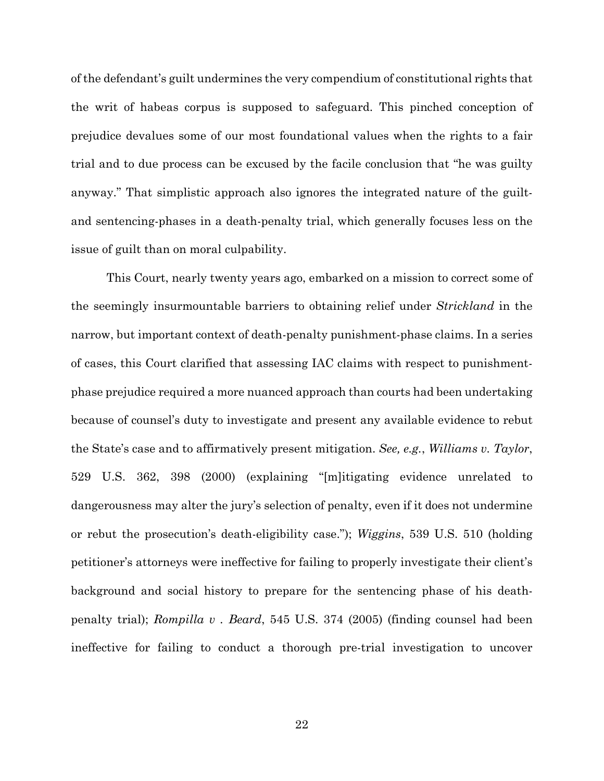of the defendant's guilt undermines the very compendium of constitutional rights that the writ of habeas corpus is supposed to safeguard. This pinched conception of prejudice devalues some of our most foundational values when the rights to a fair trial and to due process can be excused by the facile conclusion that "he was guilty anyway." That simplistic approach also ignores the integrated nature of the guiltand sentencing-phases in a death-penalty trial, which generally focuses less on the issue of guilt than on moral culpability.

<span id="page-36-1"></span><span id="page-36-0"></span>This Court, nearly twenty years ago, embarked on a mission to correct some of the seemingly insurmountable barriers to obtaining relief under *Strickland* in the narrow, but important context of death-penalty punishment-phase claims. In a series of cases, this Court clarified that assessing IAC claims with respect to punishmentphase prejudice required a more nuanced approach than courts had been undertaking because of counsel's duty to investigate and present any available evidence to rebut the State's case and to affirmatively present mitigation. *See, e.g.*, *Williams v. Taylor*, 529 U.S. 362, 398 (2000) (explaining "[m]itigating evidence unrelated to dangerousness may alter the jury's selection of penalty, even if it does not undermine or rebut the prosecution's death-eligibility case."); *Wiggins*, 539 U.S. 510 (holding petitioner's attorneys were ineffective for failing to properly investigate their client's background and social history to prepare for the sentencing phase of his deathpenalty trial); *Rompilla v . Beard*, 545 U.S. 374 (2005) (finding counsel had been ineffective for failing to conduct a thorough pre-trial investigation to uncover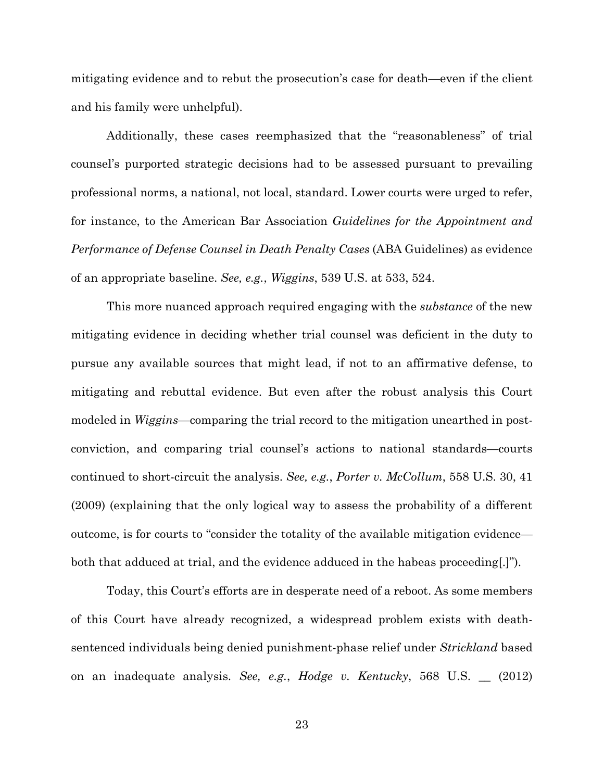mitigating evidence and to rebut the prosecution's case for death—even if the client and his family were unhelpful).

Additionally, these cases reemphasized that the "reasonableness" of trial counsel's purported strategic decisions had to be assessed pursuant to prevailing professional norms, a national, not local, standard. Lower courts were urged to refer, for instance, to the American Bar Association *Guidelines for the Appointment and Performance of Defense Counsel in Death Penalty Cases* (ABA Guidelines) as evidence of an appropriate baseline. *See, e.g.*, *Wiggins*, 539 U.S. at 533, 524.

This more nuanced approach required engaging with the *substance* of the new mitigating evidence in deciding whether trial counsel was deficient in the duty to pursue any available sources that might lead, if not to an affirmative defense, to mitigating and rebuttal evidence. But even after the robust analysis this Court modeled in *Wiggins*—comparing the trial record to the mitigation unearthed in postconviction, and comparing trial counsel's actions to national standards—courts continued to short-circuit the analysis. *See, e.g.*, *Porter v. McCollum*, 558 U.S. 30, 41 (2009) (explaining that the only logical way to assess the probability of a different outcome, is for courts to "consider the totality of the available mitigation evidence both that adduced at trial, and the evidence adduced in the habeas proceeding[.]").

<span id="page-37-1"></span><span id="page-37-0"></span>Today, this Court's efforts are in desperate need of a reboot. As some members of this Court have already recognized, a widespread problem exists with deathsentenced individuals being denied punishment-phase relief under *Strickland* based on an inadequate analysis. *See, e.g.*, *Hodge v. Kentucky*, 568 U.S. \_\_ (2012)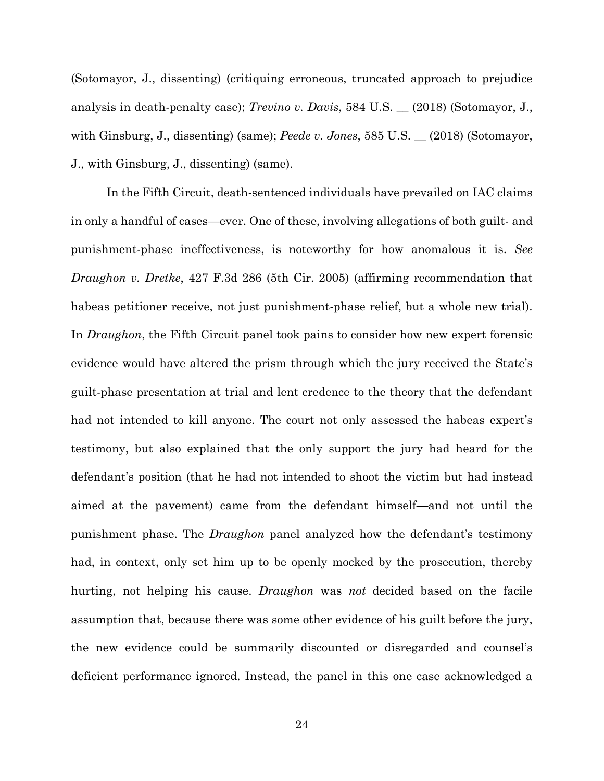<span id="page-38-2"></span><span id="page-38-1"></span>(Sotomayor, J., dissenting) (critiquing erroneous, truncated approach to prejudice analysis in death-penalty case); *Trevino v. Davis*, 584 U.S. \_\_ (2018) (Sotomayor, J., with Ginsburg, J., dissenting) (same); *Peede v. Jones*, 585 U.S. \_\_ (2018) (Sotomayor, J., with Ginsburg, J., dissenting) (same).

<span id="page-38-0"></span>In the Fifth Circuit, death-sentenced individuals have prevailed on IAC claims in only a handful of cases—ever. One of these, involving allegations of both guilt- and punishment-phase ineffectiveness, is noteworthy for how anomalous it is. *See Draughon v. Dretke*, 427 F.3d 286 (5th Cir. 2005) (affirming recommendation that habeas petitioner receive, not just punishment-phase relief, but a whole new trial). In *Draughon*, the Fifth Circuit panel took pains to consider how new expert forensic evidence would have altered the prism through which the jury received the State's guilt-phase presentation at trial and lent credence to the theory that the defendant had not intended to kill anyone. The court not only assessed the habeas expert's testimony, but also explained that the only support the jury had heard for the defendant's position (that he had not intended to shoot the victim but had instead aimed at the pavement) came from the defendant himself—and not until the punishment phase. The *Draughon* panel analyzed how the defendant's testimony had, in context, only set him up to be openly mocked by the prosecution, thereby hurting, not helping his cause. *Draughon* was *not* decided based on the facile assumption that, because there was some other evidence of his guilt before the jury, the new evidence could be summarily discounted or disregarded and counsel's deficient performance ignored. Instead, the panel in this one case acknowledged a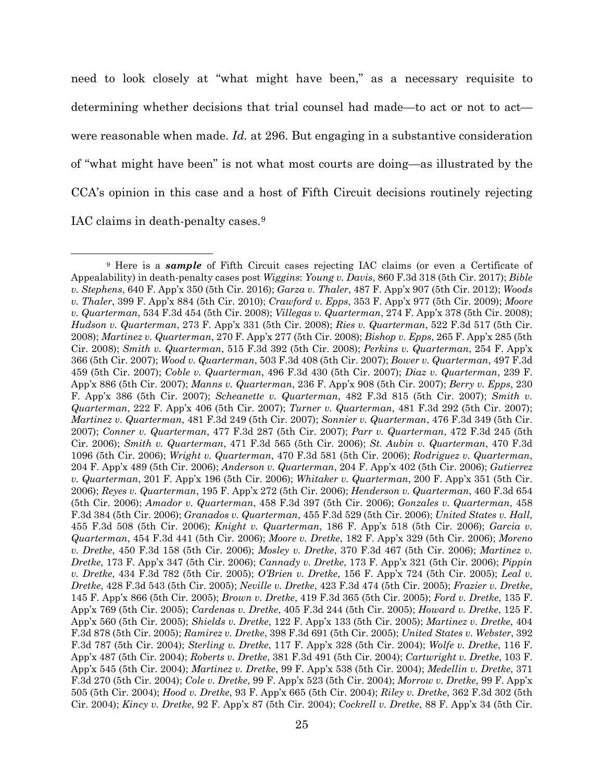<span id="page-39-16"></span>need to look closely at "what might have been," as a necessary requisite to determining whether decisions that trial counsel had made—to act or not to act were reasonable when made. *Id.* at 296. But engaging in a substantive consideration of "what might have been" is not what most courts are doing—as illustrated by the CCA's opinion in this case and a host of Fifth Circuit decisions routinely rejecting IAC claims in death-penalty cases.[9](#page-39-71)

<span id="page-39-71"></span><span id="page-39-70"></span><span id="page-39-69"></span><span id="page-39-68"></span><span id="page-39-67"></span><span id="page-39-66"></span><span id="page-39-65"></span><span id="page-39-64"></span><span id="page-39-63"></span><span id="page-39-62"></span><span id="page-39-61"></span><span id="page-39-60"></span><span id="page-39-59"></span><span id="page-39-58"></span><span id="page-39-57"></span><span id="page-39-56"></span><span id="page-39-55"></span><span id="page-39-54"></span><span id="page-39-53"></span><span id="page-39-52"></span><span id="page-39-51"></span><span id="page-39-50"></span><span id="page-39-49"></span><span id="page-39-48"></span><span id="page-39-47"></span><span id="page-39-46"></span><span id="page-39-45"></span><span id="page-39-44"></span><span id="page-39-43"></span><span id="page-39-42"></span><span id="page-39-41"></span><span id="page-39-40"></span><span id="page-39-39"></span><span id="page-39-38"></span><span id="page-39-37"></span><span id="page-39-36"></span><span id="page-39-35"></span><span id="page-39-34"></span><span id="page-39-33"></span><span id="page-39-32"></span><span id="page-39-31"></span><span id="page-39-30"></span><span id="page-39-29"></span><span id="page-39-28"></span><span id="page-39-27"></span><span id="page-39-26"></span><span id="page-39-25"></span><span id="page-39-24"></span><span id="page-39-23"></span><span id="page-39-22"></span><span id="page-39-21"></span><span id="page-39-20"></span><span id="page-39-19"></span><span id="page-39-18"></span><span id="page-39-17"></span><span id="page-39-15"></span><span id="page-39-14"></span><span id="page-39-13"></span><span id="page-39-12"></span><span id="page-39-11"></span><span id="page-39-10"></span><span id="page-39-9"></span><span id="page-39-8"></span><span id="page-39-7"></span><span id="page-39-6"></span><span id="page-39-5"></span><span id="page-39-4"></span><span id="page-39-3"></span><span id="page-39-2"></span><span id="page-39-1"></span><span id="page-39-0"></span><sup>&</sup>lt;sup>9</sup> Here is a *sample* of Fifth Circuit cases rejecting IAC claims (or even a Certificate of Appealability) in death-penalty cases post *Wiggins*: *Young v. Davis*, 860 F.3d 318 (5th Cir. 2017); *Bible v. Stephens*, 640 F. App'x 350 (5th Cir. 2016); *Garza v. Thaler*, 487 F. App'x 907 (5th Cir. 2012); *Woods v. Thaler*, 399 F. App'x 884 (5th Cir. 2010); *Crawford v. Epps*, 353 F. App'x 977 (5th Cir. 2009); *Moore v. Quarterman*, 534 F.3d 454 (5th Cir. 2008); *Villegas v. Quarterman*, 274 F. App'x 378 (5th Cir. 2008); *Hudson v. Quarterman*, 273 F. App'x 331 (5th Cir. 2008); *Ries v. Quarterman*, 522 F.3d 517 (5th Cir. 2008); *Martinez v. Quarterman*, 270 F. App'x 277 (5th Cir. 2008); *Bishop v. Epps*, 265 F. App'x 285 (5th Cir. 2008); *Smith v. Quarterman*, 515 F.3d 392 (5th Cir. 2008); *Perkins v. Quarterman*, 254 F. App'x 366 (5th Cir. 2007); *Wood v. Quarterman*, 503 F.3d 408 (5th Cir. 2007); *Bower v. Quarterman*, 497 F.3d 459 (5th Cir. 2007); *Coble v. Quarterman*, 496 F.3d 430 (5th Cir. 2007); *Diaz v. Quarterman*, 239 F. App'x 886 (5th Cir. 2007); *Manns v. Quarterman*, 236 F. App'x 908 (5th Cir. 2007); *Berry v. Epps*, 230 F. App'x 386 (5th Cir. 2007); *Scheanette v. Quarterman*, 482 F.3d 815 (5th Cir. 2007); *Smith v. Quarterman*, 222 F. App'x 406 (5th Cir. 2007); *Turner v. Quarterman*, 481 F.3d 292 (5th Cir. 2007); *Martinez v. Quarterman*, 481 F.3d 249 (5th Cir. 2007); *Sonnier v. Quarterman*, 476 F.3d 349 (5th Cir. 2007); *Conner v. Quarterman*, 477 F.3d 287 (5th Cir. 2007); *Parr v. Quarterman*, 472 F.3d 245 (5th Cir. 2006); *Smith v. Quarterman*, 471 F.3d 565 (5th Cir. 2006); *St. Aubin v. Quarterman*, 470 F.3d 1096 (5th Cir. 2006); *Wright v. Quarterman*, 470 F.3d 581 (5th Cir. 2006); *Rodriguez v. Quarterman*, 204 F. App'x 489 (5th Cir. 2006); *Anderson v. Quarterman*, 204 F. App'x 402 (5th Cir. 2006); *Gutierrez v. Quarterman*, 201 F. App'x 196 (5th Cir. 2006); *Whitaker v. Quarterman*, 200 F. App'x 351 (5th Cir. 2006); *Reyes v. Quarterman*, 195 F. App'x 272 (5th Cir. 2006); *Henderson v. Quarterman*, 460 F.3d 654 (5th Cir. 2006); *Amador v. Quarterman*, 458 F.3d 397 (5th Cir. 2006); *Gonzales v. Quarterman*, 458 F.3d 384 (5th Cir. 2006); *Granados v. Quarterman*, 455 F.3d 529 (5th Cir. 2006); *United States v. Hall*, 455 F.3d 508 (5th Cir. 2006); *Knight v. Quarterman*, 186 F. App'x 518 (5th Cir. 2006); *Garcia v. Quarterman*, 454 F.3d 441 (5th Cir. 2006); *Moore v. Dretke*, 182 F. App'x 329 (5th Cir. 2006); *Moreno v. Dretke*, 450 F.3d 158 (5th Cir. 2006); *Mosley v. Dretke*, 370 F.3d 467 (5th Cir. 2006); *Martinez v. Dretke*, 173 F. App'x 347 (5th Cir. 2006); *Cannady v. Dretke*, 173 F. App'x 321 (5th Cir. 2006); *Pippin v. Dretke*, 434 F.3d 782 (5th Cir. 2005); *O'Brien v. Dretke*, 156 F. App'x 724 (5th Cir. 2005); *Leal v. Dretke*, 428 F.3d 543 (5th Cir. 2005); *Neville v. Dretke*, 423 F.3d 474 (5th Cir. 2005); *Frazier v. Dretke*, 145 F. App'x 866 (5th Cir. 2005); *Brown v. Dretke*, 419 F.3d 365 (5th Cir. 2005); *Ford v. Dretke*, 135 F. App'x 769 (5th Cir. 2005); *Cardenas v. Dretke*, 405 F.3d 244 (5th Cir. 2005); *Howard v. Dretke*, 125 F. App'x 560 (5th Cir. 2005); *Shields v. Dretke*, 122 F. App'x 133 (5th Cir. 2005); *Martinez v. Dretke*, 404 F.3d 878 (5th Cir. 2005); *Ramirez v. Dretke*, 398 F.3d 691 (5th Cir. 2005); *United States v. Webster*, 392 F.3d 787 (5th Cir. 2004); *Sterling v. Dretke*, 117 F. App'x 328 (5th Cir. 2004); *Wolfe v. Dretke*, 116 F. App'x 487 (5th Cir. 2004); *Roberts v. Dretke*, 381 F.3d 491 (5th Cir. 2004); *Cartwright v. Dretke*, 103 F. App'x 545 (5th Cir. 2004); *Martinez v. Dretke*, 99 F. App'x 538 (5th Cir. 2004); *Medellin v. Dretke*, 371 F.3d 270 (5th Cir. 2004); *Cole v. Dretke*, 99 F. App'x 523 (5th Cir. 2004); *Morrow v. Dretke*, 99 F. App'x 505 (5th Cir. 2004); *Hood v. Dretke*, 93 F. App'x 665 (5th Cir. 2004); *Riley v. Dretke*, 362 F.3d 302 (5th Cir. 2004); *Kincy v. Dretke*, 92 F. App'x 87 (5th Cir. 2004); *Cockrell v. Dretke*, 88 F. App'x 34 (5th Cir.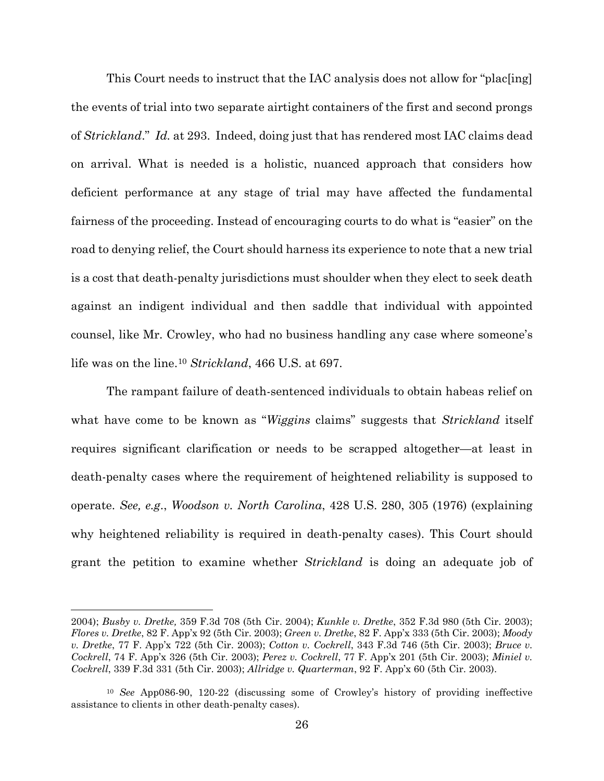<span id="page-40-1"></span>This Court needs to instruct that the IAC analysis does not allow for "plac[ing] the events of trial into two separate airtight containers of the first and second prongs of *Strickland*." *Id.* at 293. Indeed, doing just that has rendered most IAC claims dead on arrival. What is needed is a holistic, nuanced approach that considers how deficient performance at any stage of trial may have affected the fundamental fairness of the proceeding. Instead of encouraging courts to do what is "easier" on the road to denying relief, the Court should harness its experience to note that a new trial is a cost that death-penalty jurisdictions must shoulder when they elect to seek death against an indigent individual and then saddle that individual with appointed counsel, like Mr. Crowley, who had no business handling any case where someone's life was on the line[.10](#page-40-12) *Strickland*, 466 U.S. at 697.

The rampant failure of death-sentenced individuals to obtain habeas relief on what have come to be known as "*Wiggins* claims" suggests that *Strickland* itself requires significant clarification or needs to be scrapped altogether—at least in death-penalty cases where the requirement of heightened reliability is supposed to operate. *See, e.g*., *Woodson v. North Carolina*, 428 U.S. 280, 305 (1976) (explaining why heightened reliability is required in death-penalty cases). This Court should grant the petition to examine whether *Strickland* is doing an adequate job of

<span id="page-40-11"></span><span id="page-40-9"></span><span id="page-40-7"></span><span id="page-40-6"></span><span id="page-40-2"></span> $\overline{a}$ 

<span id="page-40-10"></span><span id="page-40-5"></span><span id="page-40-4"></span><span id="page-40-3"></span><sup>2004);</sup> *Busby v. Dretke,* 359 F.3d 708 (5th Cir. 2004); *Kunkle v. Dretke*, 352 F.3d 980 (5th Cir. 2003); *Flores v. Dretke*, 82 F. App'x 92 (5th Cir. 2003); *Green v. Dretke*, 82 F. App'x 333 (5th Cir. 2003); *Moody v. Dretke*, 77 F. App'x 722 (5th Cir. 2003); *Cotton v. Cockrell*, 343 F.3d 746 (5th Cir. 2003); *Bruce v. Cockrell*, 74 F. App'x 326 (5th Cir. 2003); *Perez v. Cockrell*, 77 F. App'x 201 (5th Cir. 2003); *Miniel v. Cockrell*, 339 F.3d 331 (5th Cir. 2003); *Allridge v. Quarterman*, 92 F. App'x 60 (5th Cir. 2003).

<span id="page-40-12"></span><span id="page-40-8"></span><span id="page-40-0"></span><sup>10</sup> *See* App086-90, 120-22 (discussing some of Crowley's history of providing ineffective assistance to clients in other death-penalty cases).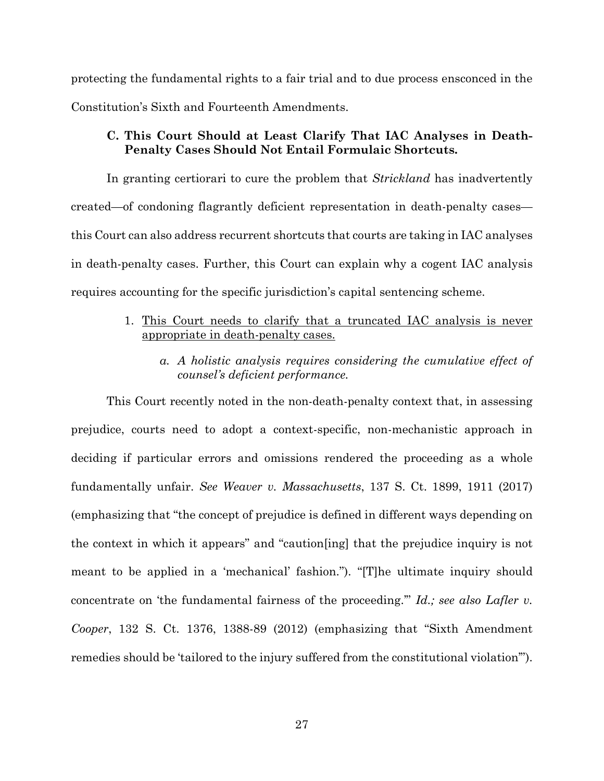protecting the fundamental rights to a fair trial and to due process ensconced in the Constitution's Sixth and Fourteenth Amendments.

### <span id="page-41-0"></span>**C. This Court Should at Least Clarify That IAC Analyses in Death-Penalty Cases Should Not Entail Formulaic Shortcuts.**

In granting certiorari to cure the problem that *Strickland* has inadvertently created—of condoning flagrantly deficient representation in death-penalty cases this Court can also address recurrent shortcuts that courts are taking in IAC analyses in death-penalty cases. Further, this Court can explain why a cogent IAC analysis requires accounting for the specific jurisdiction's capital sentencing scheme.

- <span id="page-41-1"></span>1. This Court needs to clarify that a truncated IAC analysis is never appropriate in death-penalty cases.
	- *a. A holistic analysis requires considering the cumulative effect of counsel's deficient performance.*

<span id="page-41-4"></span><span id="page-41-3"></span><span id="page-41-2"></span>This Court recently noted in the non-death-penalty context that, in assessing prejudice, courts need to adopt a context-specific, non-mechanistic approach in deciding if particular errors and omissions rendered the proceeding as a whole fundamentally unfair. *See Weaver v. Massachusetts*, 137 S. Ct. 1899, 1911 (2017) (emphasizing that "the concept of prejudice is defined in different ways depending on the context in which it appears" and "caution[ing] that the prejudice inquiry is not meant to be applied in a 'mechanical' fashion."). "[T]he ultimate inquiry should concentrate on 'the fundamental fairness of the proceeding.'" *Id.; see also Lafler v. Cooper*, 132 S. Ct. 1376, 1388-89 (2012) (emphasizing that "Sixth Amendment remedies should be 'tailored to the injury suffered from the constitutional violation'").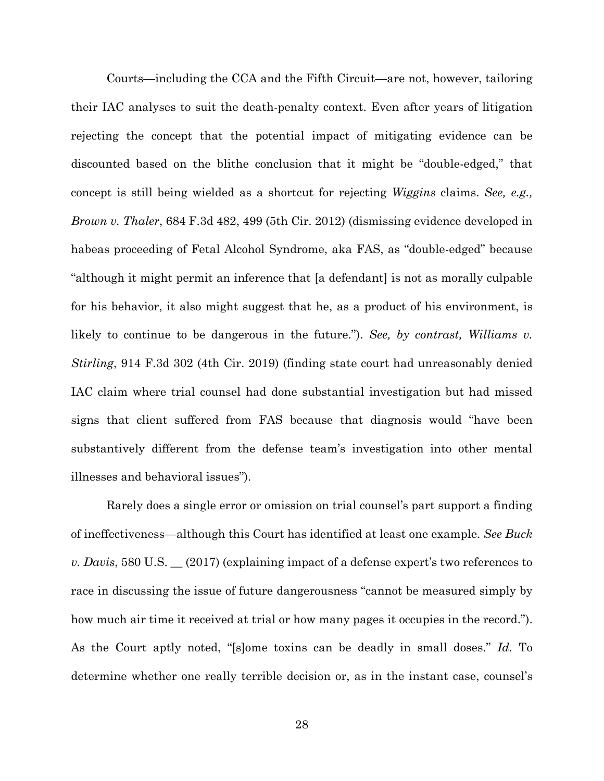<span id="page-42-0"></span>Courts—including the CCA and the Fifth Circuit—are not, however, tailoring their IAC analyses to suit the death-penalty context. Even after years of litigation rejecting the concept that the potential impact of mitigating evidence can be discounted based on the blithe conclusion that it might be "double-edged," that concept is still being wielded as a shortcut for rejecting *Wiggins* claims. *See, e.g., Brown v. Thaler*, 684 F.3d 482, 499 (5th Cir. 2012) (dismissing evidence developed in habeas proceeding of Fetal Alcohol Syndrome, aka FAS, as "double-edged" because "although it might permit an inference that [a defendant] is not as morally culpable for his behavior, it also might suggest that he, as a product of his environment, is likely to continue to be dangerous in the future."). *See, by contrast, Williams v. Stirling*, 914 F.3d 302 (4th Cir. 2019) (finding state court had unreasonably denied IAC claim where trial counsel had done substantial investigation but had missed signs that client suffered from FAS because that diagnosis would "have been substantively different from the defense team's investigation into other mental illnesses and behavioral issues").

<span id="page-42-2"></span><span id="page-42-1"></span>Rarely does a single error or omission on trial counsel's part support a finding of ineffectiveness—although this Court has identified at least one example. *See Buck v. Davis*, 580 U.S. \_\_ (2017) (explaining impact of a defense expert's two references to race in discussing the issue of future dangerousness "cannot be measured simply by how much air time it received at trial or how many pages it occupies in the record."). As the Court aptly noted, "[s]ome toxins can be deadly in small doses." *Id.* To determine whether one really terrible decision or, as in the instant case, counsel's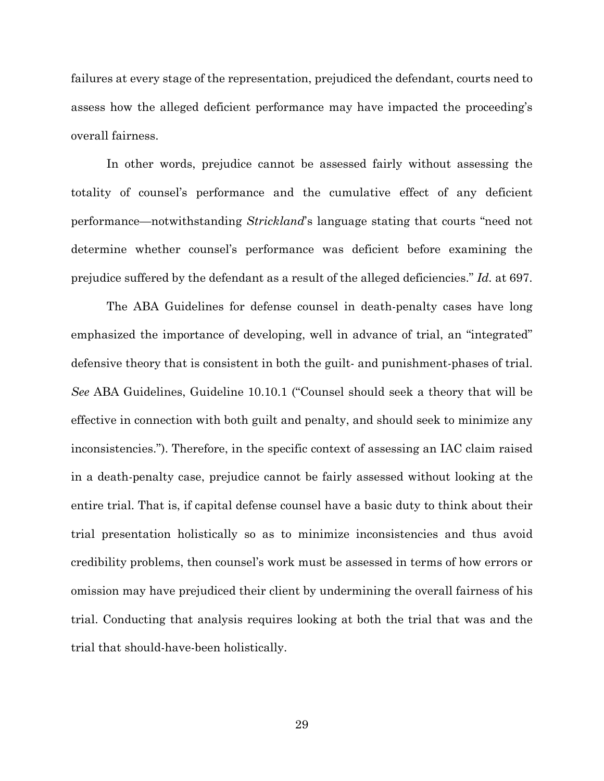failures at every stage of the representation, prejudiced the defendant, courts need to assess how the alleged deficient performance may have impacted the proceeding's overall fairness.

In other words, prejudice cannot be assessed fairly without assessing the totality of counsel's performance and the cumulative effect of any deficient performance—notwithstanding *Strickland*'s language stating that courts "need not determine whether counsel's performance was deficient before examining the prejudice suffered by the defendant as a result of the alleged deficiencies." *Id.* at 697.

<span id="page-43-0"></span>The ABA Guidelines for defense counsel in death-penalty cases have long emphasized the importance of developing, well in advance of trial, an "integrated" defensive theory that is consistent in both the guilt- and punishment-phases of trial. *See* ABA Guidelines, Guideline 10.10.1 ("Counsel should seek a theory that will be effective in connection with both guilt and penalty, and should seek to minimize any inconsistencies."). Therefore, in the specific context of assessing an IAC claim raised in a death-penalty case, prejudice cannot be fairly assessed without looking at the entire trial. That is, if capital defense counsel have a basic duty to think about their trial presentation holistically so as to minimize inconsistencies and thus avoid credibility problems, then counsel's work must be assessed in terms of how errors or omission may have prejudiced their client by undermining the overall fairness of his trial. Conducting that analysis requires looking at both the trial that was and the trial that should-have-been holistically.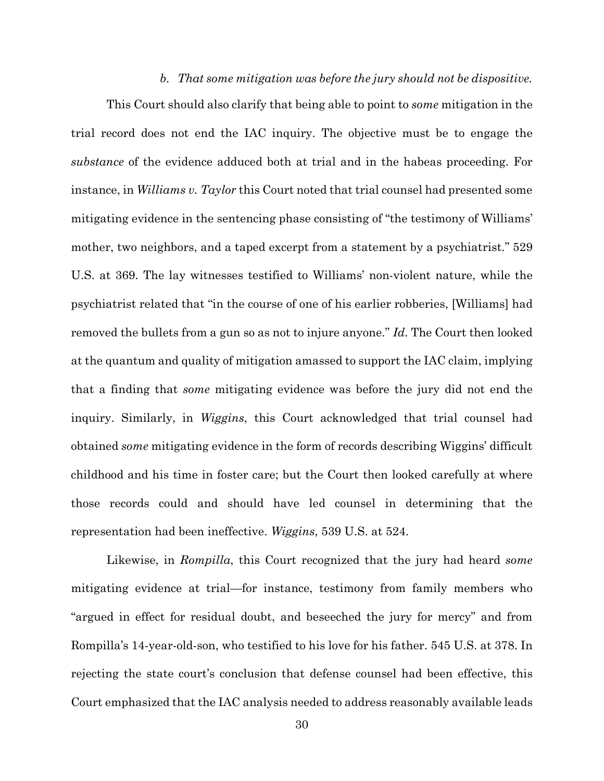#### <span id="page-44-2"></span>*b. That some mitigation was before the jury should not be dispositive.*

<span id="page-44-0"></span>This Court should also clarify that being able to point to *some* mitigation in the trial record does not end the IAC inquiry. The objective must be to engage the *substance* of the evidence adduced both at trial and in the habeas proceeding. For instance, in *Williams v. Taylor* this Court noted that trial counsel had presented some mitigating evidence in the sentencing phase consisting of "the testimony of Williams' mother, two neighbors, and a taped excerpt from a statement by a psychiatrist." 529 U.S. at 369. The lay witnesses testified to Williams' non-violent nature, while the psychiatrist related that "in the course of one of his earlier robberies, [Williams] had removed the bullets from a gun so as not to injure anyone." *Id.* The Court then looked at the quantum and quality of mitigation amassed to support the IAC claim, implying that a finding that *some* mitigating evidence was before the jury did not end the inquiry. Similarly, in *Wiggins*, this Court acknowledged that trial counsel had obtained *some* mitigating evidence in the form of records describing Wiggins' difficult childhood and his time in foster care; but the Court then looked carefully at where those records could and should have led counsel in determining that the representation had been ineffective. *Wiggins*, 539 U.S. at 524.

<span id="page-44-1"></span>Likewise, in *Rompilla*, this Court recognized that the jury had heard *some* mitigating evidence at trial—for instance, testimony from family members who "argued in effect for residual doubt, and beseeched the jury for mercy" and from Rompilla's 14-year-old-son, who testified to his love for his father. 545 U.S. at 378. In rejecting the state court's conclusion that defense counsel had been effective, this Court emphasized that the IAC analysis needed to address reasonably available leads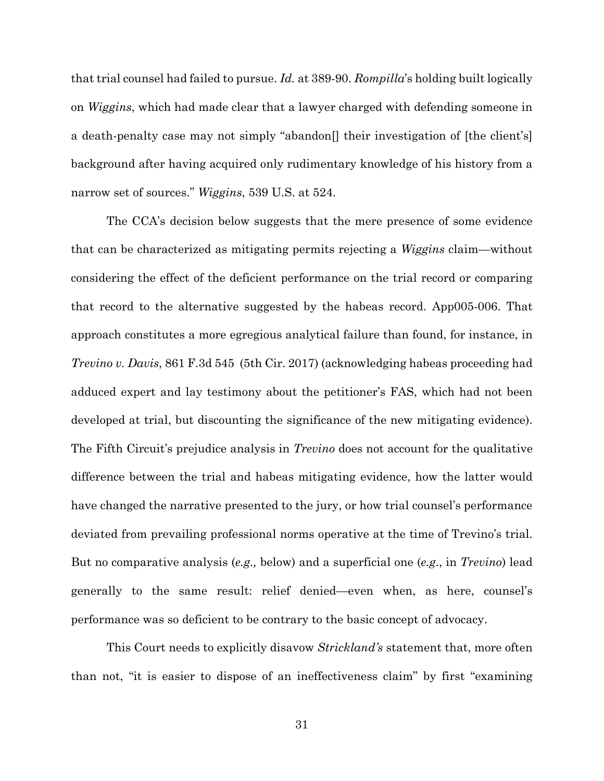<span id="page-45-0"></span>that trial counsel had failed to pursue. *Id.* at 389-90. *Rompilla*'s holding built logically on *Wiggins*, which had made clear that a lawyer charged with defending someone in a death-penalty case may not simply "abandon[] their investigation of [the client's] background after having acquired only rudimentary knowledge of his history from a narrow set of sources." *Wiggins*, 539 U.S. at 524.

<span id="page-45-1"></span>The CCA's decision below suggests that the mere presence of some evidence that can be characterized as mitigating permits rejecting a *Wiggins* claim—without considering the effect of the deficient performance on the trial record or comparing that record to the alternative suggested by the habeas record. App005-006. That approach constitutes a more egregious analytical failure than found, for instance, in *Trevino v. Davis*, 861 F.3d 545 (5th Cir. 2017) (acknowledging habeas proceeding had adduced expert and lay testimony about the petitioner's FAS, which had not been developed at trial, but discounting the significance of the new mitigating evidence). The Fifth Circuit's prejudice analysis in *Trevino* does not account for the qualitative difference between the trial and habeas mitigating evidence, how the latter would have changed the narrative presented to the jury, or how trial counsel's performance deviated from prevailing professional norms operative at the time of Trevino's trial. But no comparative analysis (*e.g.,* below) and a superficial one (*e.g.*, in *Trevino*) lead generally to the same result: relief denied—even when, as here, counsel's performance was so deficient to be contrary to the basic concept of advocacy.

This Court needs to explicitly disavow *Strickland's* statement that, more often than not, "it is easier to dispose of an ineffectiveness claim" by first "examining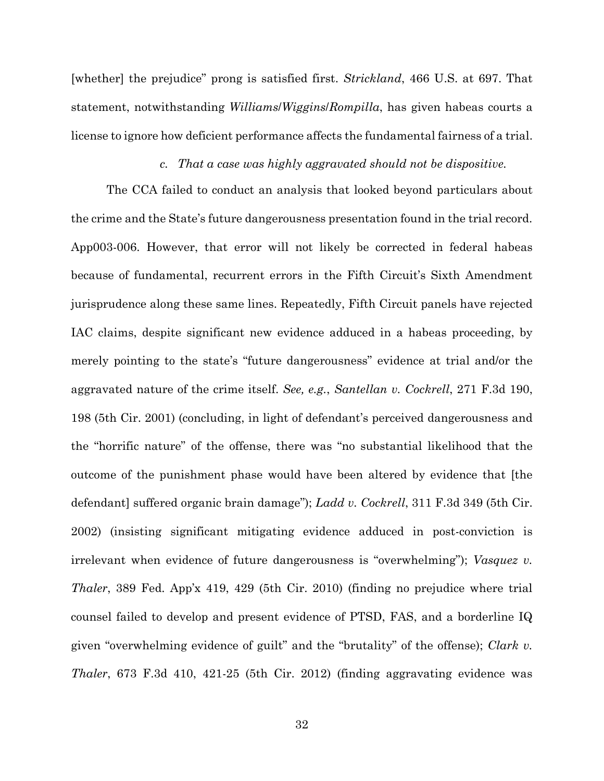[whether] the prejudice" prong is satisfied first. *Strickland*, 466 U.S. at 697. That statement, notwithstanding *Williams*/*Wiggins*/*Rompilla*, has given habeas courts a license to ignore how deficient performance affects the fundamental fairness of a trial.

#### <span id="page-46-4"></span><span id="page-46-3"></span><span id="page-46-2"></span><span id="page-46-1"></span>*c. That a case was highly aggravated should not be dispositive.*

<span id="page-46-0"></span>The CCA failed to conduct an analysis that looked beyond particulars about the crime and the State's future dangerousness presentation found in the trial record. App003-006. However, that error will not likely be corrected in federal habeas because of fundamental, recurrent errors in the Fifth Circuit's Sixth Amendment jurisprudence along these same lines. Repeatedly, Fifth Circuit panels have rejected IAC claims, despite significant new evidence adduced in a habeas proceeding, by merely pointing to the state's "future dangerousness" evidence at trial and/or the aggravated nature of the crime itself. *See, e.g.*, *Santellan v. Cockrell*, 271 F.3d 190, 198 (5th Cir. 2001) (concluding, in light of defendant's perceived dangerousness and the "horrific nature" of the offense, there was "no substantial likelihood that the outcome of the punishment phase would have been altered by evidence that [the defendant] suffered organic brain damage"); *Ladd v. Cockrell*, 311 F.3d 349 (5th Cir. 2002) (insisting significant mitigating evidence adduced in post-conviction is irrelevant when evidence of future dangerousness is "overwhelming"); *Vasquez v. Thaler*, 389 Fed. App'x 419, 429 (5th Cir. 2010) (finding no prejudice where trial counsel failed to develop and present evidence of PTSD, FAS, and a borderline IQ given "overwhelming evidence of guilt" and the "brutality" of the offense); *Clark v. Thaler*, 673 F.3d 410, 421-25 (5th Cir. 2012) (finding aggravating evidence was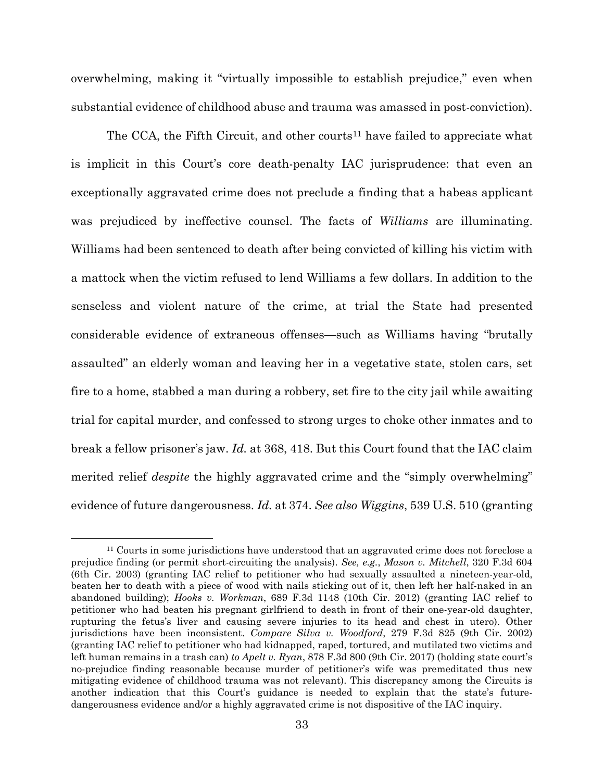overwhelming, making it "virtually impossible to establish prejudice," even when substantial evidence of childhood abuse and trauma was amassed in post-conviction).

The CCA, the Fifth Circuit, and other courts<sup>[11](#page-47-4)</sup> have failed to appreciate what is implicit in this Court's core death-penalty IAC jurisprudence: that even an exceptionally aggravated crime does not preclude a finding that a habeas applicant was prejudiced by ineffective counsel. The facts of *Williams* are illuminating. Williams had been sentenced to death after being convicted of killing his victim with a mattock when the victim refused to lend Williams a few dollars. In addition to the senseless and violent nature of the crime, at trial the State had presented considerable evidence of extraneous offenses—such as Williams having "brutally assaulted" an elderly woman and leaving her in a vegetative state, stolen cars, set fire to a home, stabbed a man during a robbery, set fire to the city jail while awaiting trial for capital murder, and confessed to strong urges to choke other inmates and to break a fellow prisoner's jaw. *Id.* at 368, 418. But this Court found that the IAC claim merited relief *despite* the highly aggravated crime and the "simply overwhelming" evidence of future dangerousness. *Id.* at 374. *See also Wiggins*, 539 U.S. 510 (granting

<span id="page-47-4"></span><span id="page-47-3"></span><span id="page-47-2"></span><span id="page-47-1"></span><span id="page-47-0"></span><sup>&</sup>lt;sup>11</sup> Courts in some jurisdictions have understood that an aggravated crime does not foreclose a prejudice finding (or permit short-circuiting the analysis). *See, e.g.*, *Mason v. Mitchell*, 320 F.3d 604 (6th Cir. 2003) (granting IAC relief to petitioner who had sexually assaulted a nineteen-year-old, beaten her to death with a piece of wood with nails sticking out of it, then left her half-naked in an abandoned building); *Hooks v. Workman*, 689 F.3d 1148 (10th Cir. 2012) (granting IAC relief to petitioner who had beaten his pregnant girlfriend to death in front of their one-year-old daughter, rupturing the fetus's liver and causing severe injuries to its head and chest in utero). Other jurisdictions have been inconsistent. *Compare Silva v. Woodford*, 279 F.3d 825 (9th Cir. 2002) (granting IAC relief to petitioner who had kidnapped, raped, tortured, and mutilated two victims and left human remains in a trash can) *to Apelt v. Ryan*, 878 F.3d 800 (9th Cir. 2017) (holding state court's no-prejudice finding reasonable because murder of petitioner's wife was premeditated thus new mitigating evidence of childhood trauma was not relevant). This discrepancy among the Circuits is another indication that this Court's guidance is needed to explain that the state's futuredangerousness evidence and/or a highly aggravated crime is not dispositive of the IAC inquiry.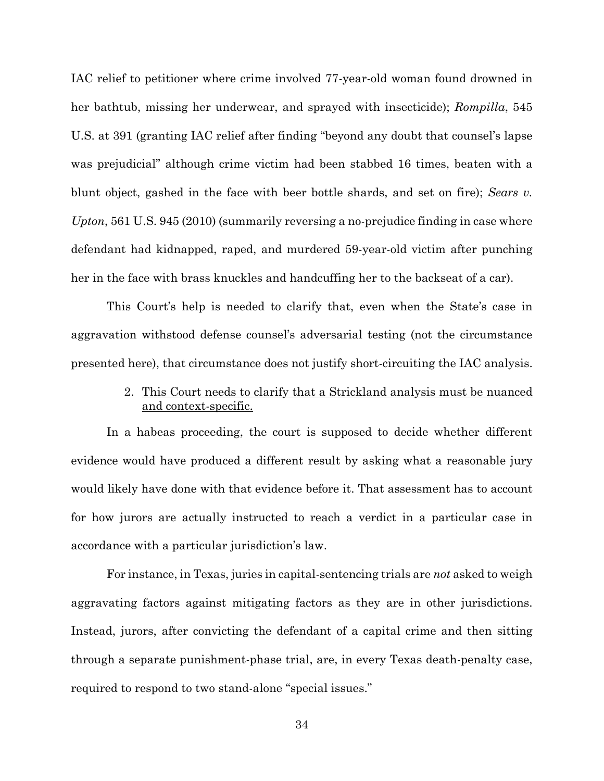<span id="page-48-1"></span>IAC relief to petitioner where crime involved 77-year-old woman found drowned in her bathtub, missing her underwear, and sprayed with insecticide); *Rompilla*, 545 U.S. at 391 (granting IAC relief after finding "beyond any doubt that counsel's lapse was prejudicial" although crime victim had been stabbed 16 times, beaten with a blunt object, gashed in the face with beer bottle shards, and set on fire); *Sears v. Upton*, 561 U.S. 945 (2010) (summarily reversing a no-prejudice finding in case where defendant had kidnapped, raped, and murdered 59-year-old victim after punching her in the face with brass knuckles and handcuffing her to the backseat of a car).

This Court's help is needed to clarify that, even when the State's case in aggravation withstood defense counsel's adversarial testing (not the circumstance presented here), that circumstance does not justify short-circuiting the IAC analysis.

> <span id="page-48-2"></span>2. This Court needs to clarify that a Strickland analysis must be nuanced and context-specific.

<span id="page-48-0"></span>In a habeas proceeding, the court is supposed to decide whether different evidence would have produced a different result by asking what a reasonable jury would likely have done with that evidence before it. That assessment has to account for how jurors are actually instructed to reach a verdict in a particular case in accordance with a particular jurisdiction's law.

For instance, in Texas, juries in capital-sentencing trials are *not* asked to weigh aggravating factors against mitigating factors as they are in other jurisdictions. Instead, jurors, after convicting the defendant of a capital crime and then sitting through a separate punishment-phase trial, are, in every Texas death-penalty case, required to respond to two stand-alone "special issues."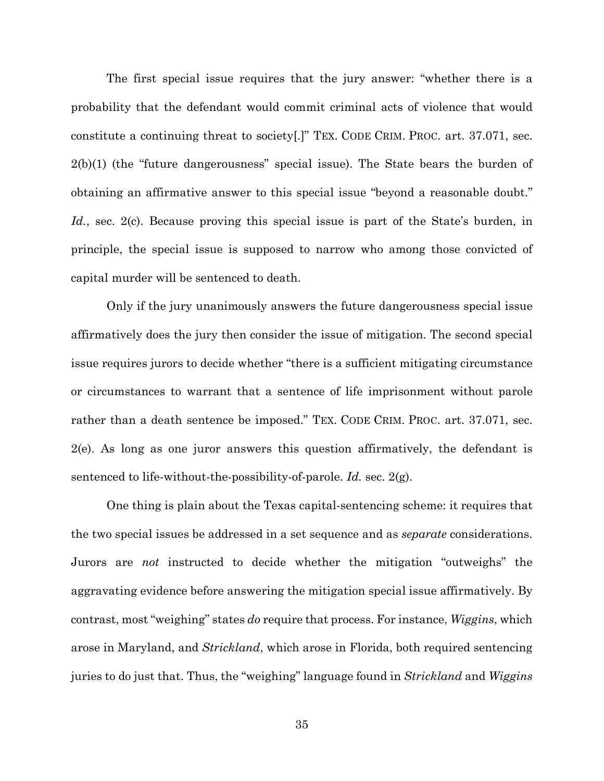<span id="page-49-0"></span>The first special issue requires that the jury answer: "whether there is a probability that the defendant would commit criminal acts of violence that would constitute a continuing threat to society[.]" TEX. CODE CRIM. PROC. art. 37.071, sec. 2(b)(1) (the "future dangerousness" special issue). The State bears the burden of obtaining an affirmative answer to this special issue "beyond a reasonable doubt." *Id.*, sec. 2(c). Because proving this special issue is part of the State's burden, in principle, the special issue is supposed to narrow who among those convicted of capital murder will be sentenced to death.

Only if the jury unanimously answers the future dangerousness special issue affirmatively does the jury then consider the issue of mitigation. The second special issue requires jurors to decide whether "there is a sufficient mitigating circumstance or circumstances to warrant that a sentence of life imprisonment without parole rather than a death sentence be imposed." TEX. CODE CRIM. PROC. art. 37.071, sec. 2(e). As long as one juror answers this question affirmatively, the defendant is sentenced to life-without-the-possibility-of-parole. *Id.* sec. 2(g).

One thing is plain about the Texas capital-sentencing scheme: it requires that the two special issues be addressed in a set sequence and as *separate* considerations. Jurors are *not* instructed to decide whether the mitigation "outweighs" the aggravating evidence before answering the mitigation special issue affirmatively. By contrast, most "weighing" states *do* require that process. For instance, *Wiggins*, which arose in Maryland, and *Strickland*, which arose in Florida, both required sentencing juries to do just that. Thus, the "weighing" language found in *Strickland* and *Wiggins*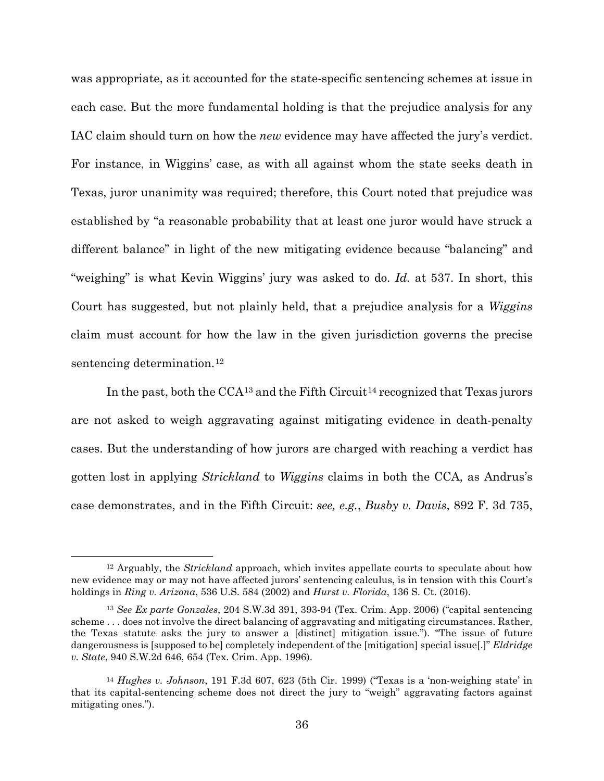was appropriate, as it accounted for the state-specific sentencing schemes at issue in each case. But the more fundamental holding is that the prejudice analysis for any IAC claim should turn on how the *new* evidence may have affected the jury's verdict. For instance, in Wiggins' case, as with all against whom the state seeks death in Texas, juror unanimity was required; therefore, this Court noted that prejudice was established by "a reasonable probability that at least one juror would have struck a different balance" in light of the new mitigating evidence because "balancing" and "weighing" is what Kevin Wiggins' jury was asked to do. *Id.* at 537. In short, this Court has suggested, but not plainly held, that a prejudice analysis for a *Wiggins* claim must account for how the law in the given jurisdiction governs the precise sentencing determination.<sup>[12](#page-50-6)</sup>

<span id="page-50-5"></span>In the past, both the  $CCA^{13}$  $CCA^{13}$  $CCA^{13}$  and the Fifth Circuit<sup>[14](#page-50-8)</sup> recognized that Texas jurors are not asked to weigh aggravating against mitigating evidence in death-penalty cases. But the understanding of how jurors are charged with reaching a verdict has gotten lost in applying *Strickland* to *Wiggins* claims in both the CCA, as Andrus's case demonstrates, and in the Fifth Circuit: *see, e.g.*, *Busby v. Davis*, 892 F. 3d 735,

<span id="page-50-6"></span><span id="page-50-0"></span> <sup>12</sup> Arguably, the *Strickland* approach, which invites appellate courts to speculate about how new evidence may or may not have affected jurors' sentencing calculus, is in tension with this Court's holdings in *Ring v. Arizona*, 536 U.S. 584 (2002) and *Hurst v. Florida*, 136 S. Ct. (2016).

<span id="page-50-7"></span><span id="page-50-4"></span><span id="page-50-2"></span><span id="page-50-1"></span><sup>13</sup> *See Ex parte Gonzales*, 204 S.W.3d 391, 393-94 (Tex. Crim. App. 2006) ("capital sentencing scheme . . . does not involve the direct balancing of aggravating and mitigating circumstances. Rather, the Texas statute asks the jury to answer a [distinct] mitigation issue."). "The issue of future dangerousness is [supposed to be] completely independent of the [mitigation] special issue[.]" *Eldridge v. State*, 940 S.W.2d 646, 654 (Tex. Crim. App. 1996).

<span id="page-50-8"></span><span id="page-50-3"></span><sup>14</sup> *Hughes v. Johnson*, 191 F.3d 607, 623 (5th Cir. 1999) ("Texas is a 'non-weighing state' in that its capital-sentencing scheme does not direct the jury to "weigh" aggravating factors against mitigating ones.").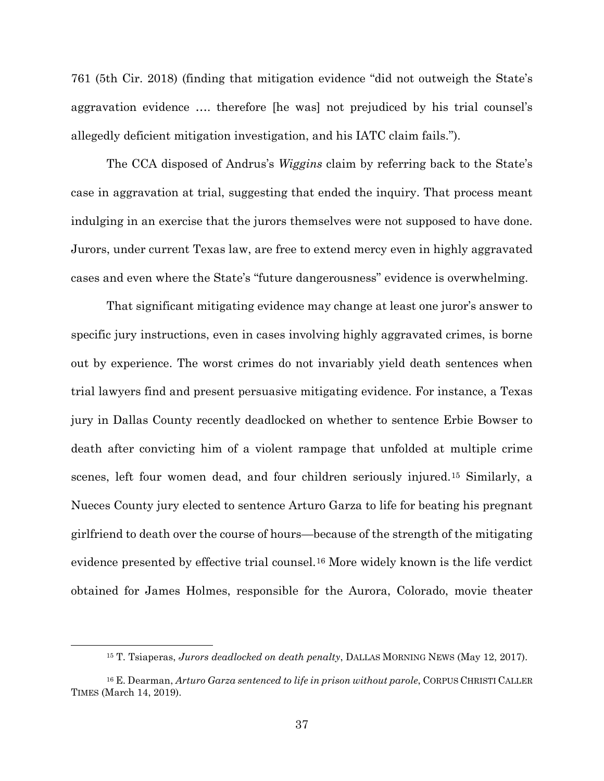761 (5th Cir. 2018) (finding that mitigation evidence "did not outweigh the State's aggravation evidence …. therefore [he was] not prejudiced by his trial counsel's allegedly deficient mitigation investigation, and his IATC claim fails.").

The CCA disposed of Andrus's *Wiggins* claim by referring back to the State's case in aggravation at trial, suggesting that ended the inquiry. That process meant indulging in an exercise that the jurors themselves were not supposed to have done. Jurors, under current Texas law, are free to extend mercy even in highly aggravated cases and even where the State's "future dangerousness" evidence is overwhelming.

That significant mitigating evidence may change at least one juror's answer to specific jury instructions, even in cases involving highly aggravated crimes, is borne out by experience. The worst crimes do not invariably yield death sentences when trial lawyers find and present persuasive mitigating evidence. For instance, a Texas jury in Dallas County recently deadlocked on whether to sentence Erbie Bowser to death after convicting him of a violent rampage that unfolded at multiple crime scenes, left four women dead, and four children seriously injured.[15](#page-51-0) Similarly, a Nueces County jury elected to sentence Arturo Garza to life for beating his pregnant girlfriend to death over the course of hours—because of the strength of the mitigating evidence presented by effective trial counsel.[16](#page-51-1) More widely known is the life verdict obtained for James Holmes, responsible for the Aurora, Colorado, movie theater

 <sup>15</sup> T. Tsiaperas, *Jurors deadlocked on death penalty*, DALLAS MORNING NEWS (May 12, 2017).

<span id="page-51-1"></span><span id="page-51-0"></span><sup>16</sup> E. Dearman, *Arturo Garza sentenced to life in prison without parole*, CORPUS CHRISTI CALLER TIMES (March 14, 2019).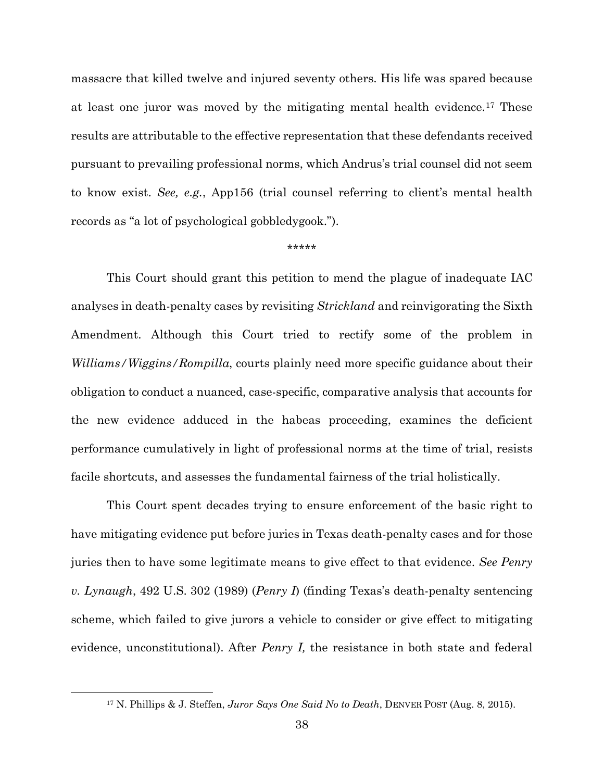massacre that killed twelve and injured seventy others. His life was spared because at least one juror was moved by the mitigating mental health evidence.[17](#page-52-1) These results are attributable to the effective representation that these defendants received pursuant to prevailing professional norms, which Andrus's trial counsel did not seem to know exist. *See, e.g.*, App156 (trial counsel referring to client's mental health records as "a lot of psychological gobbledygook.").

#### <span id="page-52-0"></span>\*\*\*\*\*

This Court should grant this petition to mend the plague of inadequate IAC analyses in death-penalty cases by revisiting *Strickland* and reinvigorating the Sixth Amendment. Although this Court tried to rectify some of the problem in *Williams/Wiggins/Rompilla*, courts plainly need more specific guidance about their obligation to conduct a nuanced, case-specific, comparative analysis that accounts for the new evidence adduced in the habeas proceeding, examines the deficient performance cumulatively in light of professional norms at the time of trial, resists facile shortcuts, and assesses the fundamental fairness of the trial holistically.

This Court spent decades trying to ensure enforcement of the basic right to have mitigating evidence put before juries in Texas death-penalty cases and for those juries then to have some legitimate means to give effect to that evidence. *See Penry v. Lynaugh*, 492 U.S. 302 (1989) (*Penry I*) (finding Texas's death-penalty sentencing scheme, which failed to give jurors a vehicle to consider or give effect to mitigating evidence, unconstitutional). After *Penry I,* the resistance in both state and federal

<span id="page-52-1"></span> <sup>17</sup> N. Phillips & J. Steffen, *Juror Says One Said No to Death*, DENVER POST (Aug. 8, 2015).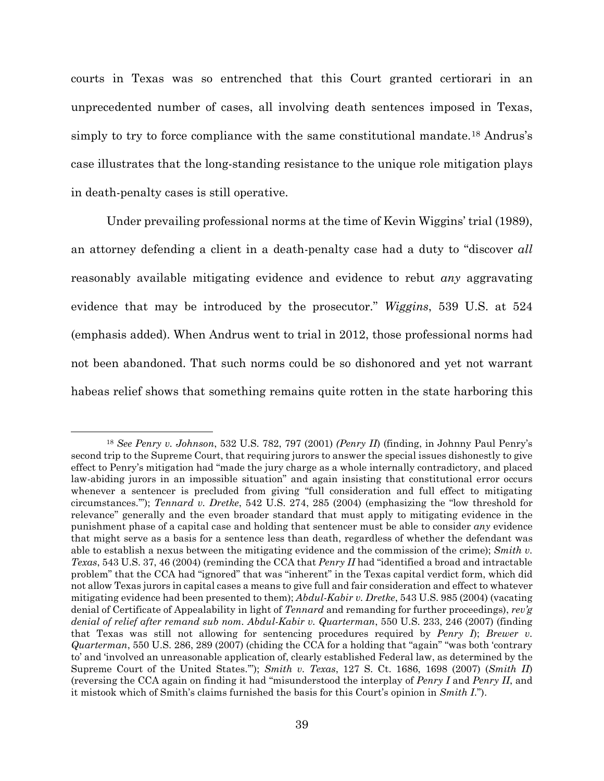courts in Texas was so entrenched that this Court granted certiorari in an unprecedented number of cases, all involving death sentences imposed in Texas, simply to try to force compliance with the same constitutional mandate.[18](#page-53-7) Andrus's case illustrates that the long-standing resistance to the unique role mitigation plays in death-penalty cases is still operative.

Under prevailing professional norms at the time of Kevin Wiggins' trial (1989), an attorney defending a client in a death-penalty case had a duty to "discover *all* reasonably available mitigating evidence and evidence to rebut *any* aggravating evidence that may be introduced by the prosecutor." *Wiggins*, 539 U.S. at 524 (emphasis added). When Andrus went to trial in 2012, those professional norms had not been abandoned. That such norms could be so dishonored and yet not warrant habeas relief shows that something remains quite rotten in the state harboring this

<span id="page-53-7"></span><span id="page-53-6"></span><span id="page-53-5"></span><span id="page-53-4"></span><span id="page-53-3"></span><span id="page-53-2"></span><span id="page-53-1"></span><span id="page-53-0"></span> <sup>18</sup> *See Penry v. Johnson*, 532 U.S. 782, 797 (2001) *(Penry II*) (finding, in Johnny Paul Penry's second trip to the Supreme Court, that requiring jurors to answer the special issues dishonestly to give effect to Penry's mitigation had "made the jury charge as a whole internally contradictory, and placed law-abiding jurors in an impossible situation" and again insisting that constitutional error occurs whenever a sentencer is precluded from giving "full consideration and full effect to mitigating circumstances.'"); *Tennard v. Dretke*, 542 U.S. 274, 285 (2004) (emphasizing the "low threshold for relevance" generally and the even broader standard that must apply to mitigating evidence in the punishment phase of a capital case and holding that sentencer must be able to consider *any* evidence that might serve as a basis for a sentence less than death, regardless of whether the defendant was able to establish a nexus between the mitigating evidence and the commission of the crime); *Smith v. Texas*, 543 U.S. 37, 46 (2004) (reminding the CCA that *Penry II* had "identified a broad and intractable problem" that the CCA had "ignored" that was "inherent" in the Texas capital verdict form, which did not allow Texas jurors in capital cases a means to give full and fair consideration and effect to whatever mitigating evidence had been presented to them); *Abdul-Kabir v. Dretke*, 543 U.S. 985 (2004) (vacating denial of Certificate of Appealability in light of *Tennard* and remanding for further proceedings), *rev'g denial of relief after remand sub nom. Abdul-Kabir v. Quarterman*, 550 U.S. 233, 246 (2007) (finding that Texas was still not allowing for sentencing procedures required by *Penry I*); *Brewer v. Quarterman*, 550 U.S. 286, 289 (2007) (chiding the CCA for a holding that "again" "was both 'contrary to' and 'involved an unreasonable application of, clearly established Federal law, as determined by the Supreme Court of the United States.'"); *Smith v. Texas*, 127 S. Ct. 1686, 1698 (2007) (*Smith II*) (reversing the CCA again on finding it had "misunderstood the interplay of *Penry I* and *Penry II*, and it mistook which of Smith's claims furnished the basis for this Court's opinion in *Smith I*.").